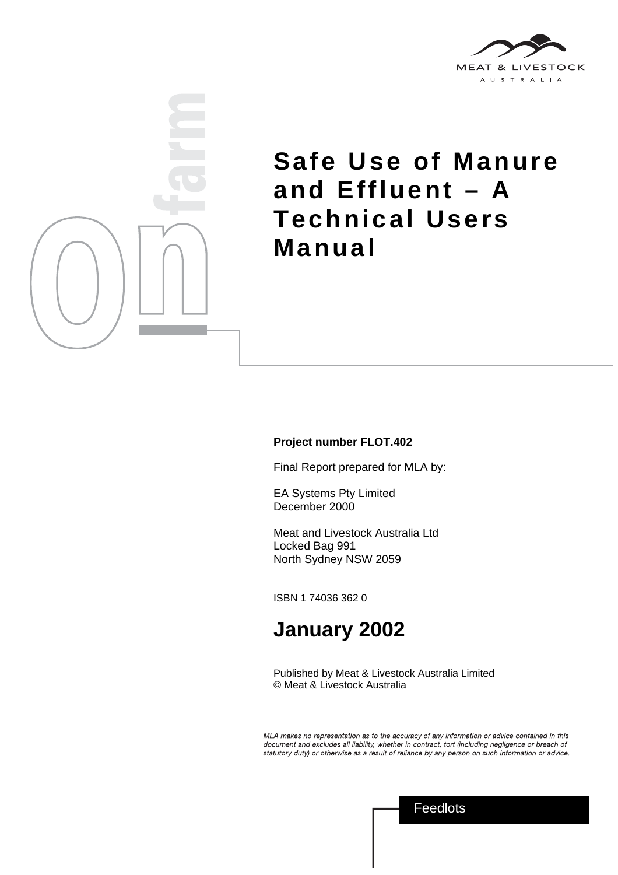



# **Safe Use of Manure and Effluent – A Technical Users Manual**

#### **Project number FLOT.402**

Final Report prepared for MLA by:

EA Systems Pty Limited December 2000

Meat and Livestock Australia Ltd Locked Bag 991 North Sydney NSW 2059

ISBN 1 74036 362 0

# **January 2002**

Published by Meat & Livestock Australia Limited © Meat & Livestock Australia

MLA makes no representation as to the accuracy of any information or advice contained in this document and excludes all liability, whether in contract, tort (including negligence or breach of statutory duty) or otherwise as a result of reliance by any person on such information or advice.

Feedlots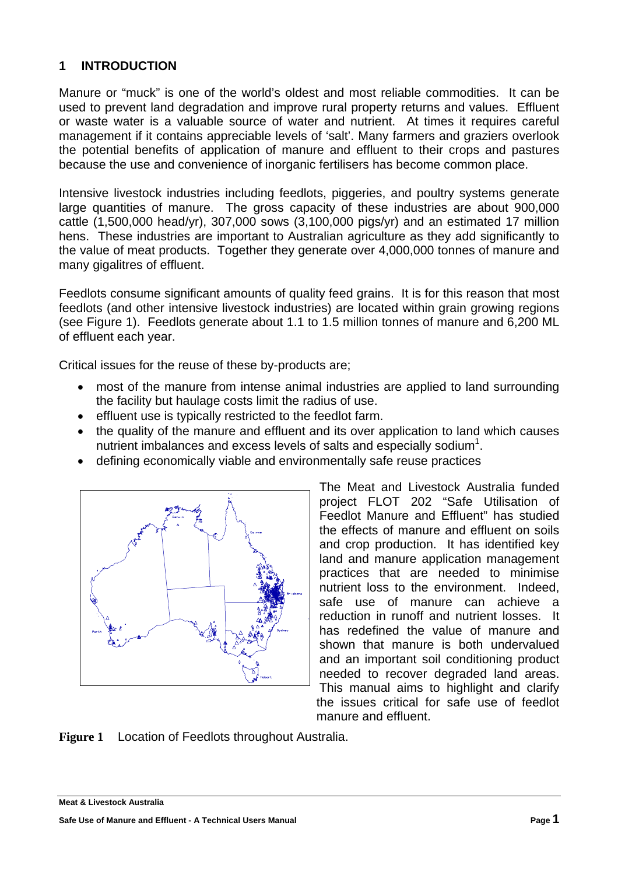#### **1 INTRODUCTION**

Manure or "muck" is one of the world's oldest and most reliable commodities. It can be used to prevent land degradation and improve rural property returns and values. Effluent or waste water is a valuable source of water and nutrient. At times it requires careful management if it contains appreciable levels of 'salt'. Many farmers and graziers overlook the potential benefits of application of manure and effluent to their crops and pastures because the use and convenience of inorganic fertilisers has become common place.

Intensive livestock industries including feedlots, piggeries, and poultry systems generate large quantities of manure. The gross capacity of these industries are about 900,000 cattle (1,500,000 head/yr), 307,000 sows (3,100,000 pigs/yr) and an estimated 17 million hens. These industries are important to Australian agriculture as they add significantly to the value of meat products. Together they generate over 4,000,000 tonnes of manure and many gigalitres of effluent.

Feedlots consume significant amounts of quality feed grains. It is for this reason that most feedlots (and other intensive livestock industries) are located within grain growing regions (see [Figure 1\)](#page-1-0). Feedlots generate about 1.1 to 1.5 million tonnes of manure and 6,200 ML of effluent each year.

Critical issues for the reuse of these by-products are;

- most of the manure from intense animal industries are applied to land surrounding the facility but haulage costs limit the radius of use.
- effluent use is typically restricted to the feedlot farm.
- the quality of the manure and effluent and its over application to land which causes nutrient imbalances and excess levels of salts and especially sodium<sup>[1](#page-37-0)</sup>.
- defining economically viable and environmentally safe reuse practices



<span id="page-1-1"></span>The Meat and Livestock Australia funded project FLOT 202 "Safe Utilisation of Feedlot Manure and Effluent" has studied the effects of manure and effluent on soils and crop production. It has identified key land and manure application management practices that are needed to minimise nutrient loss to the environment. Indeed, safe use of manure can achieve a reduction in runoff and nutrient losses. It has redefined the value of manure and shown that manure is both undervalued and an important soil conditioning product needed to recover degraded land areas. This manual aims to highlight and clarify the issues critical for safe use of feedlot manure and effluent.

<span id="page-1-0"></span>**Figure 1** Location of Feedlots throughout Australia.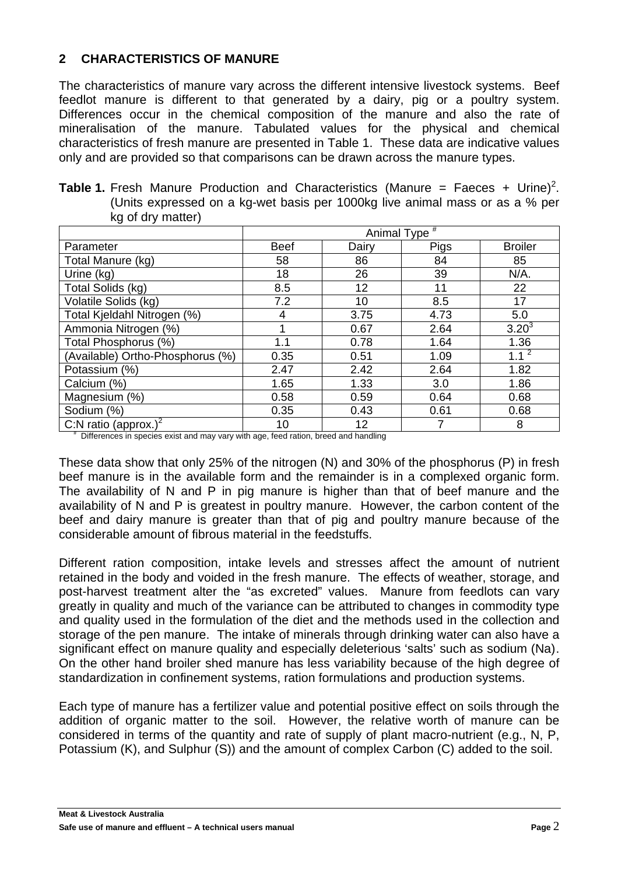#### **2 CHARACTERISTICS OF MANURE**

The characteristics of manure vary across the different intensive livestock systems. Beef feedlot manure is different to that generated by a dairy, pig or a poultry system. Differences occur in the chemical composition of the manure and also the rate of mineralisation of the manure. Tabulated values for the physical and chemical characteristics of fresh manure are presented in [Table 1.](#page-2-0) These data are indicative values only and are provided so that comparisons can be drawn across the manure types.

| $ny$ or any matter)                                                                                                                                            |                          |                                                                                                                                                                                                                                                              |             |                |  |  |
|----------------------------------------------------------------------------------------------------------------------------------------------------------------|--------------------------|--------------------------------------------------------------------------------------------------------------------------------------------------------------------------------------------------------------------------------------------------------------|-------------|----------------|--|--|
|                                                                                                                                                                | Animal Type <sup>#</sup> |                                                                                                                                                                                                                                                              |             |                |  |  |
| Parameter                                                                                                                                                      | <b>Beef</b>              | Dairy                                                                                                                                                                                                                                                        | <b>Pigs</b> | <b>Broiler</b> |  |  |
| Total Manure (kg)                                                                                                                                              | 58                       | 86                                                                                                                                                                                                                                                           | 84          | 85             |  |  |
| Urine (kg)                                                                                                                                                     | 18                       | 26                                                                                                                                                                                                                                                           | 39          | N/A.           |  |  |
| Total Solids (kg)                                                                                                                                              | 8.5                      | 12 <sub>2</sub>                                                                                                                                                                                                                                              | 11          | 22             |  |  |
| Volatile Solids (kg)                                                                                                                                           | 7.2                      | 10                                                                                                                                                                                                                                                           | 8.5         | 17             |  |  |
| Total Kjeldahl Nitrogen (%)                                                                                                                                    | 4                        | 3.75                                                                                                                                                                                                                                                         | 4.73        | 5.0            |  |  |
| Ammonia Nitrogen (%)                                                                                                                                           |                          | 0.67                                                                                                                                                                                                                                                         | 2.64        | $3.20^{3}$     |  |  |
| Total Phosphorus (%)                                                                                                                                           | 1.1                      | 0.78                                                                                                                                                                                                                                                         | 1.64        | 1.36           |  |  |
| (Available) Ortho-Phosphorus (%)                                                                                                                               | 0.35                     | 0.51                                                                                                                                                                                                                                                         | 1.09        | 1.1 $^{2}$     |  |  |
| Potassium (%)                                                                                                                                                  | 2.47                     | 2.42                                                                                                                                                                                                                                                         | 2.64        | 1.82           |  |  |
| Calcium (%)                                                                                                                                                    | 1.65                     | 1.33                                                                                                                                                                                                                                                         | 3.0         | 1.86           |  |  |
| Magnesium (%)                                                                                                                                                  | 0.58                     | 0.59                                                                                                                                                                                                                                                         | 0.64        | 0.68           |  |  |
| Sodium (%)                                                                                                                                                     | 0.35                     | 0.43                                                                                                                                                                                                                                                         | 0.61        | 0.68           |  |  |
| C:N ratio (approx.) <sup>2</sup><br>$\#$ $\sim$ $\sim$ $\sim$ $\sim$ $\sim$<br>the contract of the contract of the contract of the contract of the contract of | 10<br>$\cdots$           | 12 <sub>2</sub><br>$\epsilon$ and $\epsilon$ are the contract of the contract of the contract of the contract of the contract of the contract of the contract of the contract of the contract of the contract of the contract of the contract of the contrac |             | 8              |  |  |

<span id="page-2-0"></span>

|  |                   |  | <b>Table 1.</b> Fresh Manure Production and Characteristics (Manure = Faeces + Urine) <sup>2</sup> . |  |  |  |
|--|-------------------|--|------------------------------------------------------------------------------------------------------|--|--|--|
|  |                   |  | (Units expressed on a kg-wet basis per 1000kg live animal mass or as a % per                         |  |  |  |
|  | kg of dry matter) |  |                                                                                                      |  |  |  |

Differences in species exist and may vary with age, feed ration, breed and handling

These data show that only 25% of the nitrogen (N) and 30% of the phosphorus (P) in fresh beef manure is in the available form and the remainder is in a complexed organic form. The availability of N and P in pig manure is higher than that of beef manure and the availability of N and P is greatest in poultry manure. However, the carbon content of the beef and dairy manure is greater than that of pig and poultry manure because of the considerable amount of fibrous material in the feedstuffs.

Different ration composition, intake levels and stresses affect the amount of nutrient retained in the body and voided in the fresh manure. The effects of weather, storage, and post-harvest treatment alter the "as excreted" values. Manure from feedlots can vary greatly in quality and much of the variance can be attributed to changes in commodity type and quality used in the formulation of the diet and the methods used in the collection and storage of the pen manure. The intake of minerals through drinking water can also have a significant effect on manure quality and especially deleterious 'salts' such as sodium (Na[\).](#page-1-1) On the other hand broiler shed manure has less variability because of the high degree of standardization in confinement systems, ration formulations and production systems.

Each type of manure has a fertilizer value and potential positive effect on soils through the addition of organic matter to the soil. However, the relative worth of manure can be considered in terms of the quantity and rate of supply of plant macro-nutrient (e.g., N, P, Potassium (K), and Sulphur (S)) and the amount of complex Carbon (C) added to the soil.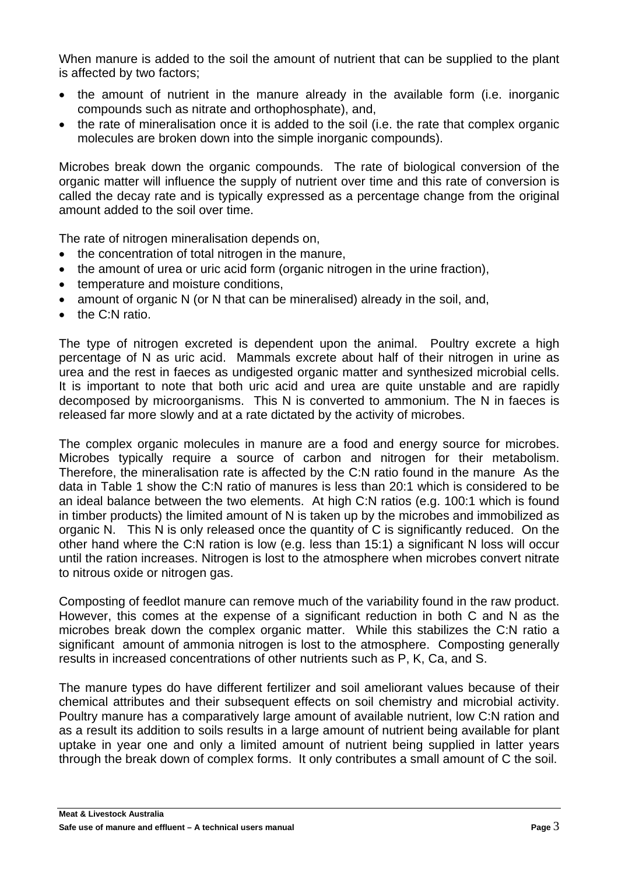When manure is added to the soil the amount of nutrient that can be supplied to the plant is affected by two factors;

- the amount of nutrient in the manure already in the available form (i.e. inorganic compounds such as nitrate and orthophosphate), and,
- the rate of mineralisation once it is added to the soil (i.e. the rate that complex organic molecules are broken down into the simple inorganic compounds).

Microbes break down the organic compounds. The rate of biological conversion of the organic matter will influence the supply of nutrient over time and this rate of conversion is called the decay rate and is typically expressed as a percentage change from the original amount added to the soil over time.

The rate of nitrogen mineralisation depends on,

- the concentration of total nitrogen in the manure,
- the amount of urea or uric acid form (organic nitrogen in the urine fraction),
- temperature and moisture conditions,
- amount of organic N (or N that can be mineralised) already in the soil, and,
- the C:N ratio

The type of nitrogen excreted is dependent upon the animal. Poultry excrete a high percentage of N as uric acid. Mammals excrete about half of their nitrogen in urine as urea and the rest in faeces as undigested organic matter and synthesized microbial cells. It is important to note that both uric acid and urea are quite unstable and are rapidly decomposed by microorganisms. This N is converted to ammonium. The N in faeces is released far more slowly and at a rate dictated by the activity of microbes.

The complex organic molecules in manure are a food and energy source for microbes. Microbes typically require a source of carbon and nitrogen for their metabolism. Therefore, the mineralisation rate is affected by the C:N ratio found in the manure As the data in Table 1 show the C:N ratio of manures is less than 20:1 which is considered to be an ideal balance between the two elements. At high C:N ratios (e.g. 100:1 which is found in timber products) the limited amount of N is taken up by the microbes and immobilized as organic N. This N is only released once the quantity of C is significantly reduced. On the other hand where the C:N ration is low (e.g. less than 15:1) a significant N loss will occur until the ration increases. Nitrogen is lost to the atmosphere when microbes convert nitrate to nitrous oxide or nitrogen gas.

Composting of feedlot manure can remove much of the variability found in the raw product. However, this comes at the expense of a significant reduction in both C and N as the microbes break down the complex organic matter. While this stabilizes the C:N ratio a significant amount of ammonia nitrogen is lost to the atmosphere. Composting generally results in increased concentrations of other nutrients such as P, K, Ca, and S.

The manure types do have different fertilizer and soil ameliorant values because of their chemical attributes and their subsequent effects on soil chemistry and microbial activity. Poultry manure has a comparatively large amount of available nutrient, low C:N ration and as a result its addition to soils results in a large amount of nutrient being available for plant uptake in year one and only a limited amount of nutrient being supplied in latter years through the break down of complex forms. It only contributes a small amount of C the soil.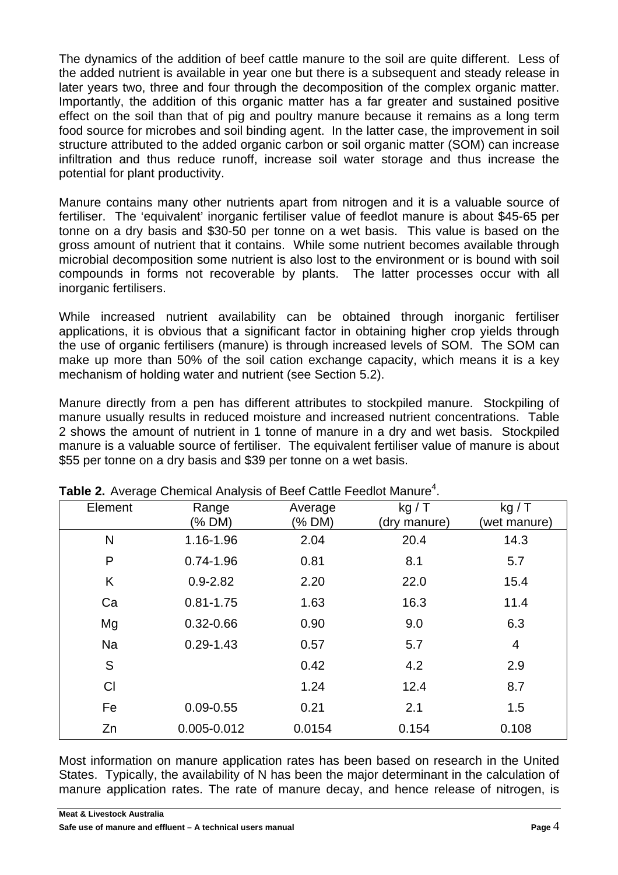The dynamics of the addition of beef cattle manure to the soil are quite different. Less of the added nutrient is available in year one but there is a subsequent and steady release in later years two, three and four through the decomposition of the complex organic matter. Importantly, the addition of this organic matter has a far greater and sustained positive effect on the soil than that of pig and poultry manure because it remains as a long term food source for microbes and soil binding agent. In the latter case, the improvement in soil structure attributed to the added organic carbon or soil organic matter (SOM) can increase infiltration and thus reduce runoff, increase soil water storage and thus increase the potential for plant productivity.

Manure contains many other nutrients apart from nitrogen and it is a valuable source of fertiliser. The 'equivalent' inorganic fertiliser value of feedlot manure is about \$45-65 per tonne on a dry basis and \$30-50 per tonne on a wet basis. This value is based on the gross amount of nutrient that it contains. While some nutrient becomes available through microbial decomposition some nutrient is also lost to the environment or is bound with soil compounds in forms not recoverable by plants. The latter processes occur with all inorganic fertilisers.

While increased nutrient availability can be obtained through inorganic fertiliser applications, it is obvious that a significant factor in obtaining higher crop yields through the use of organic fertilisers (manure) is through increased levels of SOM. The SOM can make up more than 50% of the soil cation exchange capacity, which means it is a key mechanism of holding water and nutrient (see Section [5.2\)](#page-11-0).

Manure directly from a pen has different attributes to stockpiled manure. Stockpiling of manure usually results in reduced moisture and increased nutrient concentrations. [Table](#page-4-0)  [2](#page-4-0) shows the amount of nutrient in 1 tonne of manure in a dry and wet basis. Stockpiled manure is a valuable source of fertiliser. The equivalent fertiliser value of manure is about \$55 per tonne on a dry basis and \$39 per tonne on a wet basis.

| Element   | Range         | Average | kg/T         | kg/T           |
|-----------|---------------|---------|--------------|----------------|
|           | (% DM)        | (% DM)  | (dry manure) | (wet manure)   |
| N         | 1.16-1.96     | 2.04    | 20.4         | 14.3           |
| P         | $0.74 - 1.96$ | 0.81    | 8.1          | 5.7            |
| K         | $0.9 - 2.82$  | 2.20    | 22.0         | 15.4           |
| Ca        | $0.81 - 1.75$ | 1.63    | 16.3         | 11.4           |
| Mg        | $0.32 - 0.66$ | 0.90    | 9.0          | 6.3            |
| <b>Na</b> | $0.29 - 1.43$ | 0.57    | 5.7          | $\overline{4}$ |
| S         |               | 0.42    | 4.2          | 2.9            |
| CI        |               | 1.24    | 12.4         | 8.7            |
| Fe        | $0.09 - 0.55$ | 0.21    | 2.1          | 1.5            |
| Zn        | 0.005-0.012   | 0.0154  | 0.154        | 0.108          |

<span id="page-4-1"></span><span id="page-4-0"></span>Table 2. Average Chemical Analysis of Beef Cattle Feedlot Manure<sup>[4](#page-37-3)</sup>.

Most information on manure application rates has been based on research in the United States. Typically, the availability of N has been the major determinant in the calculation of manure application rates. The rate of manure decay, and hence release of nitrogen, is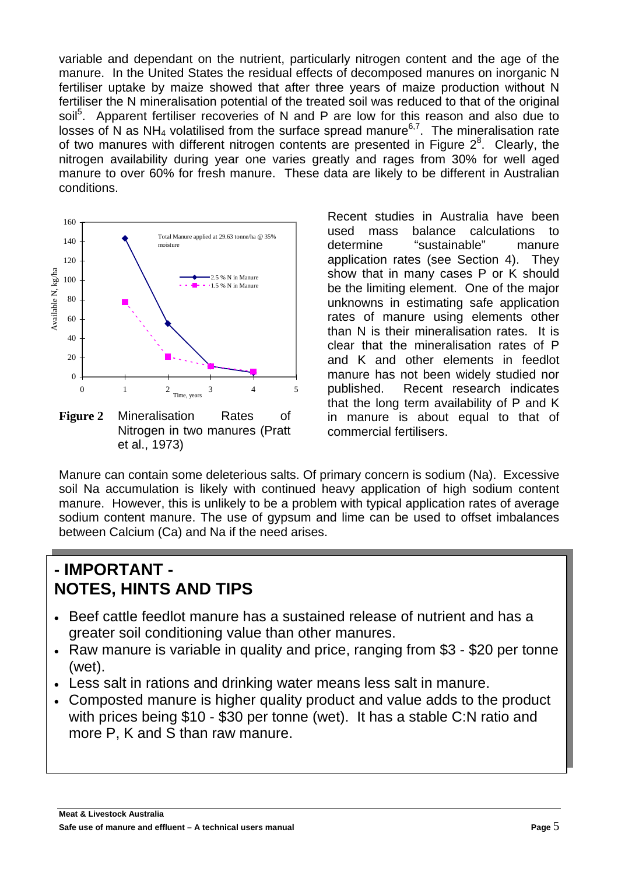variable and dependant on the nutrient, particularly nitrogen content and the age of the manure. In the United States the residual effects of decomposed manures on inorganic N fertiliser uptake by maize showed that after three years of maize production without N fertiliser the N mineralisation potential of the treated soil was reduced to that of the original soil<sup>[5](#page-37-4)</sup>. Apparent fertiliser recoveries of N and P are low for this reason and also due to losses of N as NH<sub>4</sub> volatilised from the surface spread manure<sup>[6,7](#page-37-5)</sup>[.](#page-37-5) The mineralisation rate of two manures with different nitrogen contents are presented in Figure  $2^8$ [.](#page-37-6) Clearly, the nitrogen availability during year one varies greatly and rages from 30% for well aged manure to over 60% for fresh manure. These data are likely to be different in Australian conditions.



Nitrogen in two manures (Pratt et al., 1973)

Recent studies in Australia have been used mass balance calculations to determine "sustainable" manure application rates (see Section [4\)](#page-8-0). They show that in many cases P or K should be the limiting element. One of the major unknowns in estimating safe application rates of manure using elements other than N is their mineralisation rates. It is clear that the mineralisation rates of P and K and other elements in feedlot manure has not been widely studied nor published. Recent research indicates that the long term availability of P and K in manure is about equal to that of commercial fertilisers.

Manure can contain some deleterious salts. Of primary concern is sodium (Na). Excessive soil Na accumulation is likely with continued heavy application of high sodium content manure. However, this is unlikely to be a problem with typical application rates of average sodium content manure. The use of gypsum and lime can be used to offset imbalances between Calcium (Ca) and Na if the need arises.

### **- IMPORTANT - NOTES, HINTS AND TIPS**

- Beef cattle feedlot manure has a sustained release of nutrient and has a greater soil conditioning value than other manures.
- Raw manure is variable in quality and price, ranging from \$3 \$20 per tonne (wet).
- Less salt in rations and drinking water means less salt in manure.
- Composted manure is higher quality product and value adds to the product with prices being \$10 - \$30 per tonne (wet). It has a stable C:N ratio and more P, K and S than raw manure.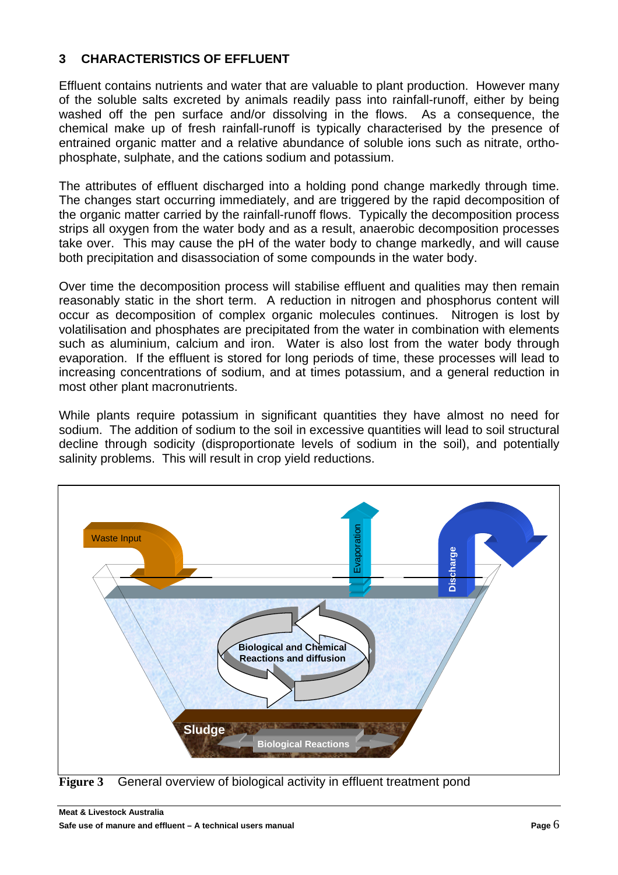#### **3 CHARACTERISTICS OF EFFLUENT**

Effluent contains nutrients and water that are valuable to plant production. However many of the soluble salts excreted by animals readily pass into rainfall-runoff, either by being washed off the pen surface and/or dissolving in the flows. As a consequence, the chemical make up of fresh rainfall-runoff is typically characterised by the presence of entrained organic matter and a relative abundance of soluble ions such as nitrate, orthophosphate, sulphate, and the cations sodium and potassium.

The attributes of effluent discharged into a holding pond change markedly through time. The changes start occurring immediately, and are triggered by the rapid decomposition of the organic matter carried by the rainfall-runoff flows. Typically the decomposition process strips all oxygen from the water body and as a result, anaerobic decomposition processes take over. This may cause the pH of the water body to change markedly, and will cause both precipitation and disassociation of some compounds in the water body.

Over time the decomposition process will stabilise effluent and qualities may then remain reasonably static in the short term. A reduction in nitrogen and phosphorus content will occur as decomposition of complex organic molecules continues. Nitrogen is lost by volatilisation and phosphates are precipitated from the water in combination with elements such as aluminium, calcium and iron. Water is also lost from the water body through evaporation. If the effluent is stored for long periods of time, these processes will lead to increasing concentrations of sodium, and at times potassium, and a general reduction in most other plant macronutrients.

While plants require potassium in significant quantities they have almost no need for sodium. The addition of sodium to the soil in excessive quantities will lead to soil structural decline through sodicity (disproportionate levels of sodium in the soil), and potentially salinity problems. This will result in crop yield reductions.



**Figure 3** General overview of biological activity in effluent treatment pond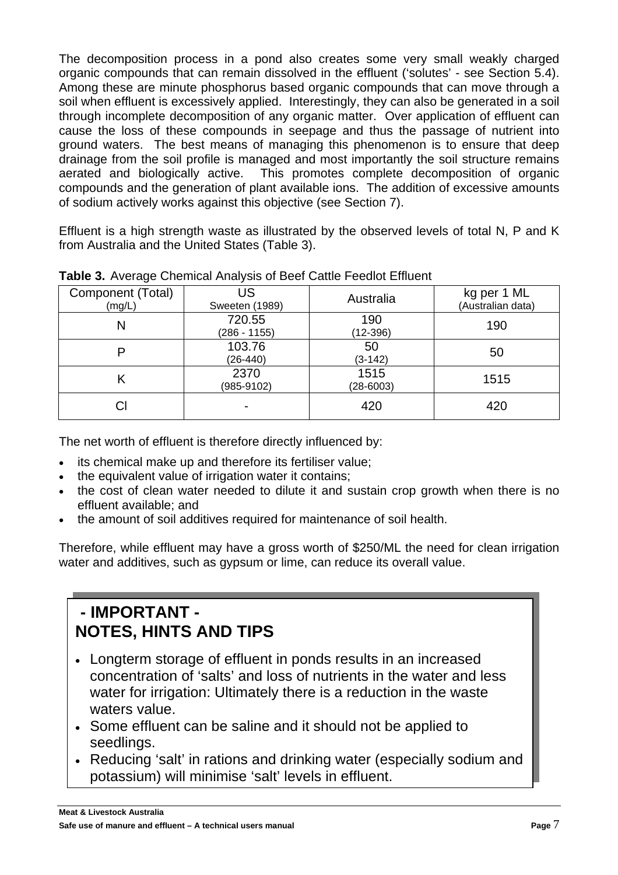The decomposition process in a pond also creates some very small weakly charged organic compounds that can remain dissolved in the effluent ('solutes' - see Section [5.4\)](#page-13-0). Among these are minute phosphorus based organic compounds that can move through a soil when effluent is excessively applied. Interestingly, they can also be generated in a soil through incomplete decomposition of any organic matter. Over application of effluent can cause the loss of these compounds in seepage and thus the passage of nutrient into ground waters. The best means of managing this phenomenon is to ensure that deep drainage from the soil profile is managed and most importantly the soil structure remains aerated and biologically active. This promotes complete decomposition of organic compounds and the generation of plant available ions. The addition of excessive amounts of sodium actively works against this objective (see Section [7\)](#page-24-0).

Effluent is a high strength waste as illustrated by the observed levels of total N, P and K from Australia and the United States [\(Table 3\)](#page-7-0).

| ີ                 |                          |                     |                                  |
|-------------------|--------------------------|---------------------|----------------------------------|
| Component (Total) | US<br>Sweeten (1989)     | Australia           | kg per 1 ML<br>(Australian data) |
| (mg/L)            |                          |                     |                                  |
| N                 | 720.55<br>$(286 - 1155)$ | 190<br>$(12-396)$   | 190                              |
|                   | 103.76<br>$(26-440)$     | 50<br>$(3-142)$     | 50                               |
|                   | 2370<br>(985-9102)       | 1515<br>$(28-6003)$ | 1515                             |
|                   |                          | 420                 | 420                              |

<span id="page-7-0"></span>**Table 3.** Average Chemical Analysis of Beef Cattle Feedlot Effluen[t](#page-4-1)

The net worth of effluent is therefore directly influenced by:

- its chemical make up and therefore its fertiliser value;
- the equivalent value of irrigation water it contains;
- the cost of clean water needed to dilute it and sustain crop growth when there is no effluent available; and
- the amount of soil additives required for maintenance of soil health.

Therefore, while effluent may have a gross worth of \$250/ML the need for clean irrigation water and additives, such as gypsum or lime, can reduce its overall value.

### **- IMPORTANT - NOTES, HINTS AND TIPS**

- Longterm storage of effluent in ponds results in an increased concentration of 'salts' and loss of nutrients in the water and less water for irrigation: Ultimately there is a reduction in the waste waters value.
- Some effluent can be saline and it should not be applied to seedlings.
- Reducing 'salt' in rations and drinking water (especially sodium and potassium) will minimise 'salt' levels in effluent.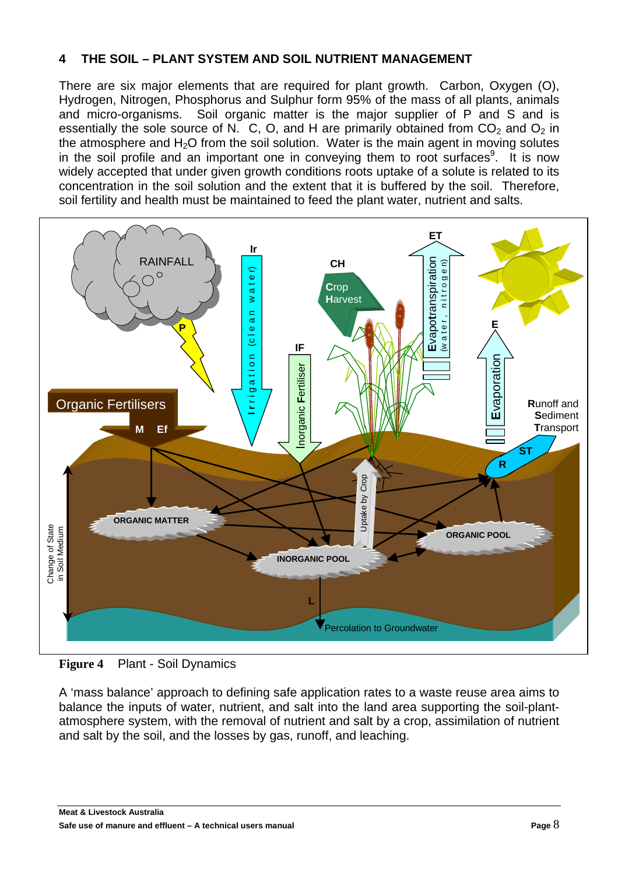#### **4 THE SOIL – PLANT SYSTEM AND SOIL NUTRIENT MANAGEMENT**

There are six major elements that are required for plant growth. Carbon, Oxygen (O), Hydrogen, Nitrogen, Phosphorus and Sulphur form 95% of the mass of all plants, animals and micro-organisms. Soil organic matter is the major supplier of P and S and is essentially the sole source of N. C, O, and H are primarily obtained from  $CO<sub>2</sub>$  and  $O<sub>2</sub>$  in the atmosphere and  $H_2O$  from the soil solution. Water is the main agent in moving solutes in the soil profile and an important one in conveying them to root surfaces $9$ [.](#page-37-7) It is now widely accepted that under given growth conditions roots uptake of a solute is related to its concentration in the soil solution and the extent that it is buffered by the soil. Therefore, soil fertility and health must be maintained to feed the plant water, nutrient and salts.



<span id="page-8-0"></span>**Figure 4** Plant - Soil Dynamics

A 'mass balance' approach to defining safe application rates to a waste reuse area aims to balance the inputs of water, nutrient, and salt into the land area supporting the soil-plantatmosphere system, with the removal of nutrient and salt by a crop, assimilation of nutrient and salt by the soil, and the losses by gas, runoff, and leaching.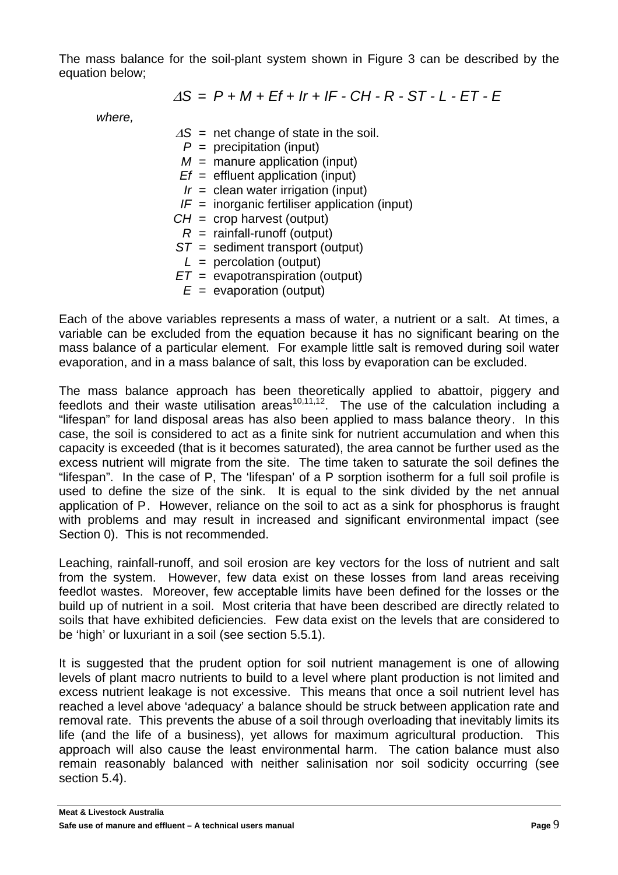The mass balance for the soil-plant system shown in Figure 3 can be described by the equation below;

$$
\Delta S = P + M + Ef + Ir + IF - CH - R - ST - L - ET - E
$$

 *where,* 

<sup>∆</sup>*S* = net change of state in the soil.  $P =$  precipitation (input)  $M =$  manure application (input)  *Ef* = effluent application (input)  $Ir =$  clean water irrigation (input)  $IF =$  inorganic fertiliser application (input)  $CH =$  crop harvest (output)  $R =$  rainfall-runoff (output)  *ST* = sediment transport (output)  *L* = percolation (output)  *ET* = evapotranspiration (output)  $E =$  evaporation (output)

Each of the above variables represents a mass of water, a nutrient or a salt. At times, a variable can be excluded from the equation because it has no significant bearing on the mass balance of a particular element. For example little salt is removed during soil water evaporation, and in a mass balance of salt, this loss by evaporation can be excluded.

<span id="page-9-0"></span>The mass balance approach has been theoretically applied to abattoir, piggery and feedlots and their waste utilisation areas<sup>10,11,12</sup>. The use of the calculation including a "lifespan" for land disposal areas has also been applied to mass balance theor[y.](#page-9-0) In this case, the soil is considered to act as a finite sink for nutrient accumulation and when this capacity is exceeded (that is it becomes saturated), the area cannot be further used as the excess nutrient will migrate from the site. The time taken to saturate the soil defines the "lifespan". In the case of P, The 'lifespan' of a P sorption isotherm for a full soil profile is used to define the size of the sink. It is equal to the sink divided by the net annual application of [P.](#page-9-0) However, reliance on the soil to act as a sink for phosphorus is fraught with problems and may result in increased and significant environmental impact (see Section [0\)](#page-20-0). This is not recommended.

Leaching, rainfall-runoff, and soil erosion are key vectors for the loss of nutrient and salt from the system. However, few data exist on these losses from land areas receiving feedlot wastes. Moreover, few acceptable limits have been defined for the losses or the build up of nutrient in a soil. Most criteria that have been described are directly related to soils that have exhibited deficiencies. Few data exist on the levels that are considered to be 'high' or luxuriant in a soil (see section [5.5.1\)](#page-19-0).

It is suggested that the prudent option for soil nutrient management is one of allowing levels of plant macro nutrients to build to a level where plant production is not limited and excess nutrient leakage is not excessive. This means that once a soil nutrient level has reached a level above 'adequacy' a balance should be struck between application rate and removal rate. This prevents the abuse of a soil through overloading that inevitably limits its life (and the life of a business), yet allows for maximum agricultural production. This approach will also cause the least environmental harm. The cation balance must also remain reasonably balanced with neither salinisation nor soil sodicity occurring (see section [5.4\)](#page-13-0).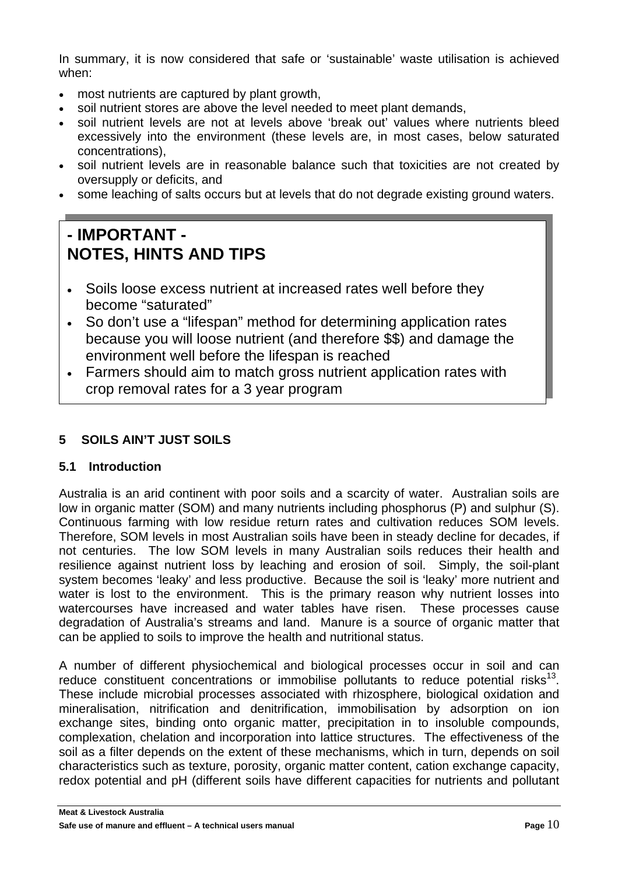In summary, it is now considered that safe or 'sustainable' waste utilisation is achieved when:

- most nutrients are captured by plant growth,
- soil nutrient stores are above the level needed to meet plant demands,
- soil nutrient levels are not at levels above 'break out' values where nutrients bleed excessively into the environment (these levels are, in most cases, below saturated concentrations),
- soil nutrient levels are in reasonable balance such that toxicities are not created by oversupply or deficits, and
- some leaching of salts occurs but at levels that do not degrade existing ground waters.

# **- IMPORTANT - NOTES, HINTS AND TIPS**

- Soils loose excess nutrient at increased rates well before they become "saturated"
- So don't use a "lifespan" method for determining application rates because you will loose nutrient (and therefore \$\$) and damage the environment well before the lifespan is reached
- Farmers should aim to match gross nutrient application rates with crop removal rates for a 3 year program

### **5 SOILS AIN'T JUST SOILS**

#### **5.1 Introduction**

Australia is an arid continent with poor soils and a scarcity of water. Australian soils are low in organic matter (SOM) and many nutrients including phosphorus (P) and sulphur (S). Continuous farming with low residue return rates and cultivation reduces SOM levels. Therefore, SOM levels in most Australian soils have been in steady decline for decades, if not centuries. The low SOM levels in many Australian soils reduces their health and resilience against nutrient loss by leaching and erosion of soil. Simply, the soil-plant system becomes 'leaky' and less productive. Because the soil is 'leaky' more nutrient and water is lost to the environment. This is the primary reason why nutrient losses into watercourses have increased and water tables have risen. These processes cause degradation of Australia's streams and land. Manure is a source of organic matter that can be applied to soils to improve the health and nutritional status.

A number of different physiochemical and biological processes occur in soil and can reduce constituent concentrations or immobilise pollutants to reduce potential risks<sup>13</sup>. These include microbial processes associated with rhizosphere, biological oxidation and mineralisation, nitrification and denitrification, immobilisation by adsorption on ion exchange sites, binding onto organic matter, precipitation in to insoluble compounds, complexation, chelation and incorporation into lattice structures. The effectiveness of the soil as a filter depends on the extent of these mechanisms, which in turn, depends on soil characteristics such as texture, porosity, organic matter content, cation exchange capacity, redox potential and pH (different soils have different capacities for nutrients and pollutant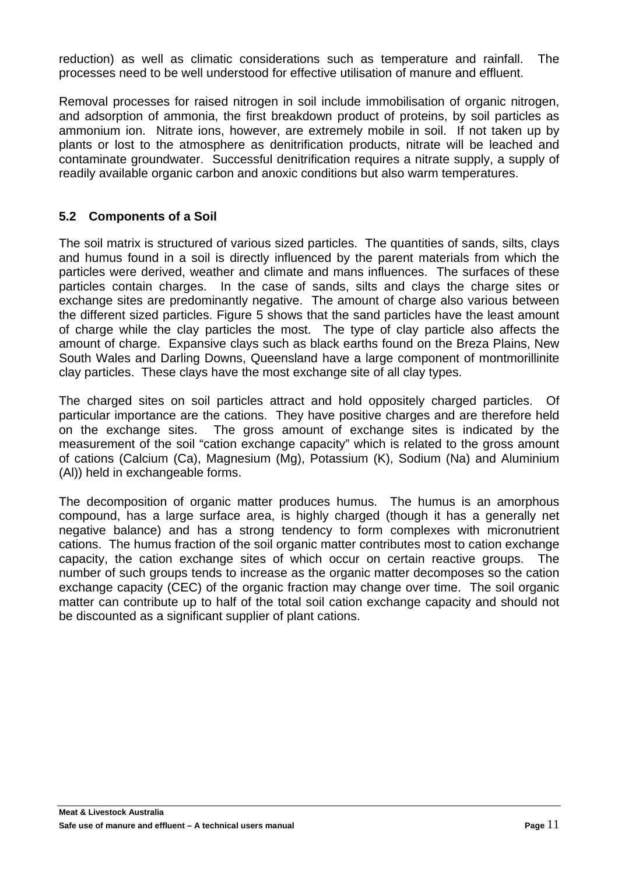reduction) as well as climatic considerations such as temperature and rainfall. The processes need to be well understood for effective utilisation of manure and effluent.

Removal processes for raised nitrogen in soil include immobilisation of organic nitrogen, and adsorption of ammonia, the first breakdown product of proteins, by soil particles as ammonium ion. Nitrate ions, however, are extremely mobile in soil. If not taken up by plants or lost to the atmosphere as denitrification products, nitrate will be leached and contaminate groundwater. Successful denitrification requires a nitrate supply, a supply of readily available organic carbon and anoxic conditions but also warm temperatures.

#### <span id="page-11-0"></span>**5.2 Components of a Soil**

The soil matrix is structured of various sized particles. The quantities of sands, silts, clays and humus found in a soil is directly influenced by the parent materials from which the particles were derived, weather and climate and mans influences. The surfaces of these particles contain charges. In the case of sands, silts and clays the charge sites or exchange sites are predominantly negative. The amount of charge also various between the different sized particles. [Figure 5](#page-12-0) shows that the sand particles have the least amount of charge while the clay particles the most. The type of clay particle also affects the amount of charge. Expansive clays such as black earths found on the Breza Plains, New South Wales and Darling Downs, Queensland have a large component of montmorillinite clay particles. These clays have the most exchange site of all clay types.

The charged sites on soil particles attract and hold oppositely charged particles. Of particular importance are the cations. They have positive charges and are therefore held on the exchange sites. The gross amount of exchange sites is indicated by the measurement of the soil "cation exchange capacity" which is related to the gross amount of cations (Calcium (Ca), Magnesium (Mg), Potassium (K), Sodium (Na) and Aluminium (Al)) held in exchangeable forms.

The decomposition of organic matter produces humus. The humus is an amorphous compound, has a large surface area, is highly charged (though it has a generally net negative balance) and has a strong tendency to form complexes with micronutrient cations. The humus fraction of the soil organic matter contributes most to cation exchange capacity, the cation exchange sites of which occur on certain reactive groups. The number of such groups tends to increase as the organic matter decomposes so the cation exchange capacity (CEC) of the organic fraction may change over time. The soil organic matter can contribute up to half of the total soil cation exchange capacity and should not be discounted as a significant supplier of plant cations.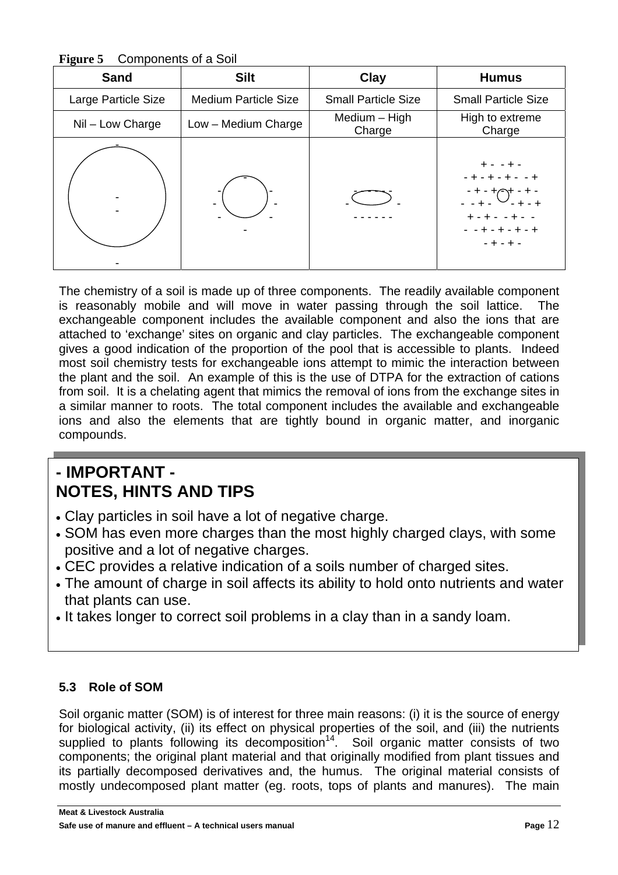<span id="page-12-0"></span>**Figure 5** Components of a Soil

| ਼<br><b>Sand</b>    | <b>Silt</b>                 | <b>Humus</b>               |                            |
|---------------------|-----------------------------|----------------------------|----------------------------|
| Large Particle Size | <b>Medium Particle Size</b> | <b>Small Particle Size</b> | <b>Small Particle Size</b> |
| Nil - Low Charge    | Low - Medium Charge         | Medium - High<br>Charge    | High to extreme<br>Charge  |
|                     | $\blacksquare$              |                            | + - + - +<br>$- + - + -$   |

The chemistry of a soil is made up of three components. The readily available component is reasonably mobile and will move in water passing through the soil lattice. The exchangeable component includes the available component and also the ions that are attached to 'exchange' sites on organic and clay particles. The exchangeable component gives a good indication of the proportion of the pool that is accessible to plants. Indeed most soil chemistry tests for exchangeable ions attempt to mimic the interaction between the plant and the soil. An example of this is the use of DTPA for the extraction of cations from soil. It is a chelating agent that mimics the removal of ions from the exchange sites in a similar manner to roots. The total component includes the available and exchangeable ions and also the elements that are tightly bound in organic matter, and inorganic compounds.

### **- IMPORTANT - NOTES, HINTS AND TIPS**

- Clay particles in soil have a lot of negative charge.
- SOM has even more charges than the most highly charged clays, with some positive and a lot of negative charges.
- CEC provides a relative indication of a soils number of charged sites.
- The amount of charge in soil affects its ability to hold onto nutrients and water that plants can use.
- It takes longer to correct soil problems in a clay than in a sandy loam.

### **5.3 Role of SOM**

Soil organic matter (SOM) is of interest for three main reasons: (i) it is the source of energy for biological activity, (ii) its effect on physical properties of the soil, and (iii) the nutrients supplied to plants following its decomposition<sup>14</sup>. Soil organic matter consists of two components; the original plant material and that originally modified from plant tissues and its partially decomposed derivatives and, the humus. The original material consists of mostly undecomposed plant matter (eg. roots, tops of plants and manures). The main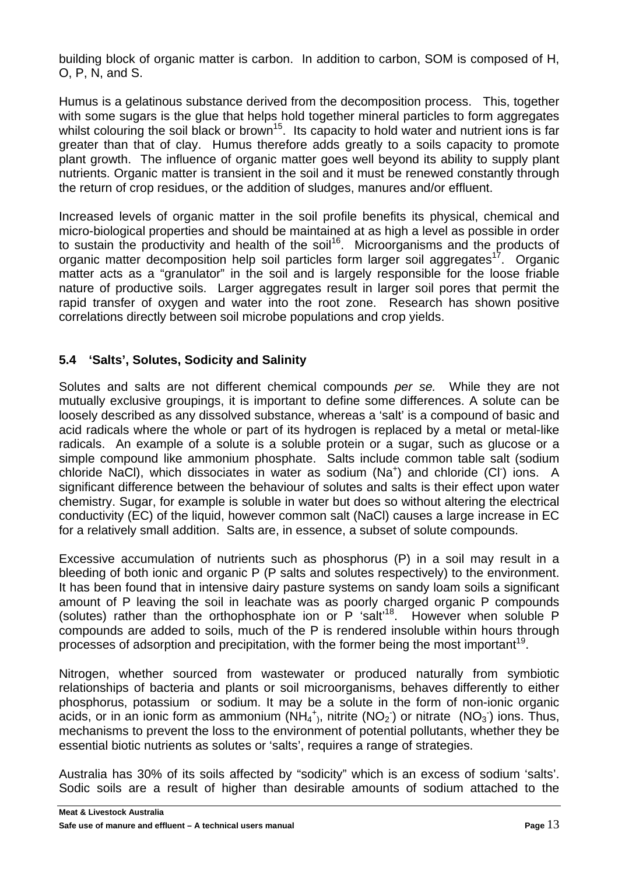building block of organic matter is carbon. In addition to carbon, SOM is composed of H, O, P, N, and S.

Humus is a gelatinous substance derived from the decomposition process. This, together with some sugars is the glue that helps hold together mineral particles to form aggregates whilst colouring the soil black or brown<sup>15</sup>. Its capacity to hold water and nutrient ions is far greater than that of clay. Humus therefore adds greatly to a soils capacity to promote plant growth. The influence of organic matter goes well beyond its ability to supply plant nutrients. Organic matter is transient in the soil and it must be renewed constantly through the return of crop residues, or the addition of sludges, manures and/or effluent.

<span id="page-13-1"></span>Increased levels of organic matter in the soil profile benefits its physical, chemical and micro-biological properties and should be maintained at as high a level as possible in order to sustain the productivity and health of the soil<sup>16</sup>. Microorganisms and the products of organic matter decomposition help soil particles form larger soil aggregates<sup>17</sup>. Organic matter acts as a "granulator" in the soil and is largely responsible for the loose friable nature of productive soils. Larger aggregates result in larger soil pores that permit the rapid transfer of oxygen and water into the root zone. Research has shown positive correlations directly between soil microbe populations and crop yields.

#### <span id="page-13-0"></span>**5.4 'Salts', Solutes, Sodicity and Salinity**

Solutes and salts are not different chemical compounds *per se.* While they are not mutually exclusive groupings, it is important to define some differences. A solute can be loosely described as any dissolved substance, whereas a 'salt' is a compound of basic and acid radicals where the whole or part of its hydrogen is replaced by a metal or metal-like radicals. An example of a solute is a soluble protein or a sugar, such as glucose or a simple compound like ammonium phosphate. Salts include common table salt (sodium chloride NaCl), which dissociates in water as sodium (Na<sup>+</sup>) and chloride (Cl) ions. A significant difference between the behaviour of solutes and salts is their effect upon water chemistry. Sugar, for example is soluble in water but does so without altering the electrical conductivity (EC) of the liquid, however common salt (NaCl) causes a large increase in EC for a relatively small addition. Salts are, in essence, a subset of solute compounds.

Excessive accumulation of nutrients such as phosphorus (P) in a soil may result in a bleeding of both ionic and organic P (P salts and solutes respectively) to the environment. It has been found that in intensive dairy pasture systems on sandy loam soils a significant amount of P leaving the soil in leachate was as poorly charged organic P compounds (solutes) rather than the orthophosphate ion or P 'salt'[18.](#page-37-13) However when soluble P compounds are added to soils, much of the P is rendered insoluble within hours through processes of adsorption and precipitation, with the former being the most important<sup>19</sup>.

Nitrogen, whether sourced from wastewater or produced naturally from symbiotic relationships of bacteria and plants or soil microorganisms, behaves differently to either phosphorus, potassium or sodium. It may be a solute in the form of non-ionic organic acids, or in an ionic form as ammonium ( $NH_4^+$ ), nitrite (NO<sub>2</sub>) or nitrate (NO<sub>3</sub>) ions. Thus, mechanisms to prevent the loss to the environment of potential pollutants, whether they be essential biotic nutrients as solutes or 'salts', requires a range of strategies.

Australia has 30% of its soils affected by "sodicity" which is an excess of sodium 'salts'. Sodic soils are a result of higher than desirable amounts of sodium attached to the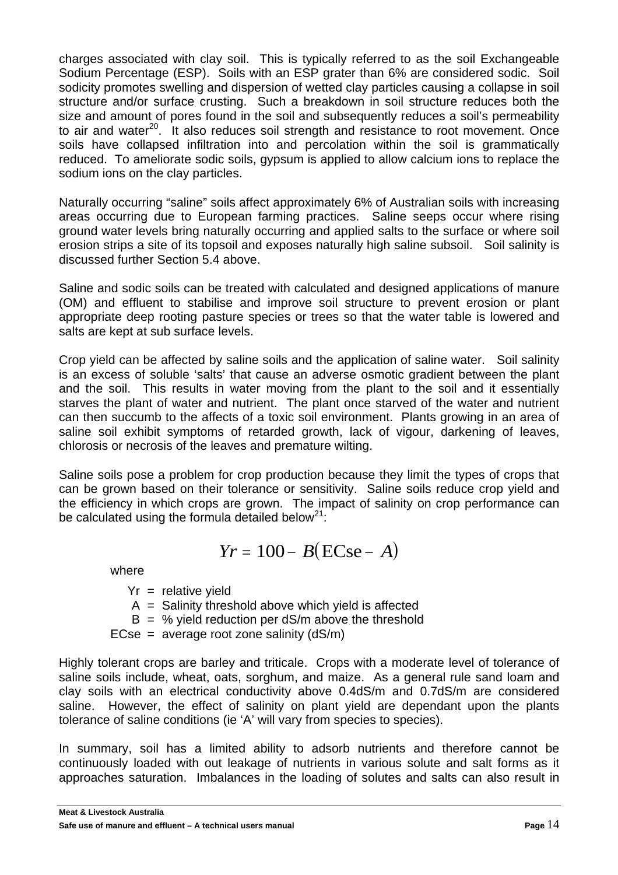charges associated with clay soil. This is typically referred to as the soil Exchangeable Sodium Percentage (ESP). Soils with an ESP grater than 6% are considered sodic. Soil sodicity promotes swelling and dispersion of wetted clay particles causing a collapse in soil structure and/or surface crusting. Such a breakdown in soil structure reduces both the size and amount of pores found in the soil and subsequently reduces a soil's permeability to air and water<sup>20</sup>. It also reduces soil strength and resistance to root movement. Once soils have collapsed infiltration into and percolation within the soil is grammatically reduced. To ameliorate sodic soils, gypsum is applied to allow calcium ions to replace the sodium ions on the clay particles.

Naturally occurring "saline" soils affect approximately 6% of Australian soils with increasing areas occurring due to European farming practices. Saline seeps occur where rising ground water levels bring naturally occurring and applied salts to the surface or where soil erosion strips a site of its topsoil and exposes naturally high saline subsoil. Soil salinity is discussed further Section [5.4 above.](#page-13-0)

Saline and sodic soils can be treated with calculated and designed applications of manure (OM) and effluent to stabilise and improve soil structure to prevent erosion or plant appropriate deep rooting pasture species or trees so that the water table is lowered and salts are kept at sub surface levels.

Crop yield can be affected by saline soils and the application of saline water. Soil salinity is an excess of soluble 'salts' that cause an adverse osmotic gradient between the plant and the soil. This results in water moving from the plant to the soil and it essentially starves the plant of water and nutrient. The plant once starved of the water and nutrient can then succumb to the affects of a toxic soil environment. Plants growing in an area of saline soil exhibit symptoms of retarded growth, lack of vigour, darkening of leaves, chlorosis or necrosis of the leaves and premature wilting.

Saline soils pose a problem for crop production because they limit the types of crops that can be grown based on their tolerance or sensitivity. Saline soils reduce crop yield and the efficiency in which crops are grown. The impact of salinity on crop performance can be calculated using the formula detailed below<sup>21</sup>:

$$
Yr = 100 - B(ECse - A)
$$

where

 $Yr =$  relative yield

- $A =$  Salinity threshold above which yield is affected
- $B = \%$  yield reduction per dS/m above the threshold
- ECse = average root zone salinity  $(dS/m)$

Highly tolerant crops are barley and triticale. Crops with a moderate level of tolerance of saline soils include, wheat, oats, sorghum, and maize. As a general rule sand loam and clay soils with an electrical conductivity above 0.4dS/m and 0.7dS/m are considered saline. However, the effect of salinity on plant yield are dependant upon the plants tolerance of saline conditions (ie 'A' will vary from species to species).

In summary, soil has a limited ability to adsorb nutrients and therefore cannot be continuously loaded with out leakage of nutrients in various solute and salt forms as it approaches saturation. Imbalances in the loading of solutes and salts can also result in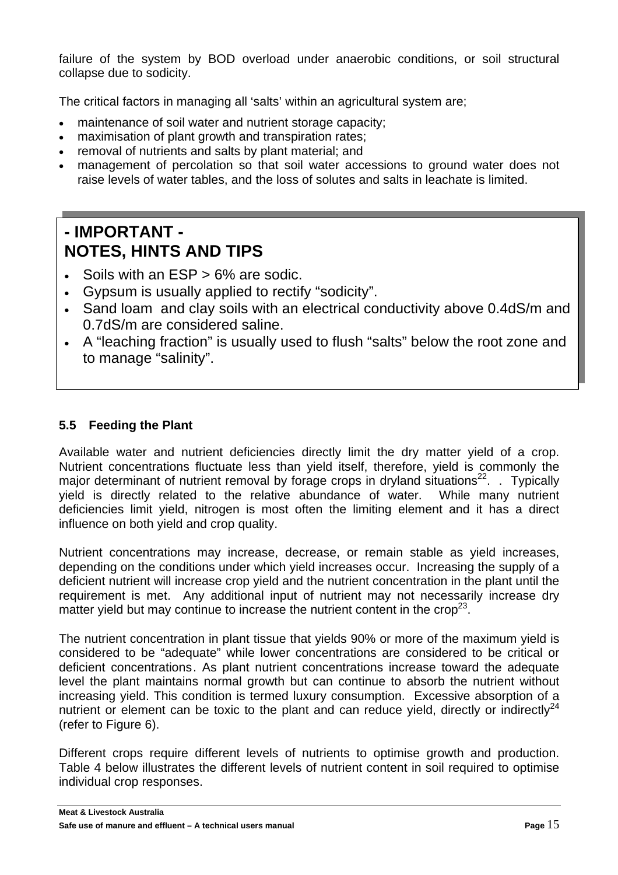failure of the system by BOD overload under anaerobic conditions, or soil structural collapse due to sodicity.

The critical factors in managing all 'salts' within an agricultural system are;

- maintenance of soil water and nutrient storage capacity;
- maximisation of plant growth and transpiration rates;
- removal of nutrients and salts by plant material; and
- management of percolation so that soil water accessions to ground water does not raise levels of water tables, and the loss of solutes and salts in leachate is limited.

### **- IMPORTANT - NOTES, HINTS AND TIPS**

- Soils with an ESP > 6% are sodic.
- Gypsum is usually applied to rectify "sodicity".
- Sand loam and clay soils with an electrical conductivity above 0.4dS/m and 0.7dS/m are considered saline.
- A "leaching fraction" is usually used to flush "salts" below the root zone and to manage "salinity".

#### **5.5 Feeding the Plant**

<span id="page-15-0"></span>Available water and nutrient deficiencies directly limit the dry matter yield of a crop. Nutrient concentrations fluctuate less than yield itself, therefore, yield is commonly the major determinant of nutrient removal by forage crops in dryland situations<sup>22</sup>. . Typically yield is directly related to the relative abundance of water. While many nutrient deficiencies limit yield, nitrogen is most often the limiting element and it has a direct influence on both yield and crop quality.

Nutrient concentrations may increase, decrease, or remain stable as yield increases, depending on the conditions under which yield increases occur. Increasing the supply of a deficient nutrient will increase crop yield and the nutrient concentration in the plant until the requirement is met. Any additional input of nutrient may not necessarily increase dry matter yield but may continue to increase the nutrient content in the crop<sup>23</sup>.

The nutrient concentration in plant tissue that yields 90% or more of the maximum yield is considered to be "adequate" while lower concentrations are considered to be critical or deficient concentration[s. A](#page-15-0)s plant nutrient concentrations increase toward the adequate level the plant maintains normal growth but can continue to absorb the nutrient without increasing yield. This condition is termed luxury consumption. Excessive absorption of a nutrient or element can be toxic to the plant and can reduce yield, directly or indirectly<sup>24</sup> (refer to [Figure 6\)](#page-16-0).

Different crops require different levels of nutrients to optimise growth and production. [Table 4 below](#page-17-0) illustrates the different levels of nutrient content in soil required to optimise individual crop responses.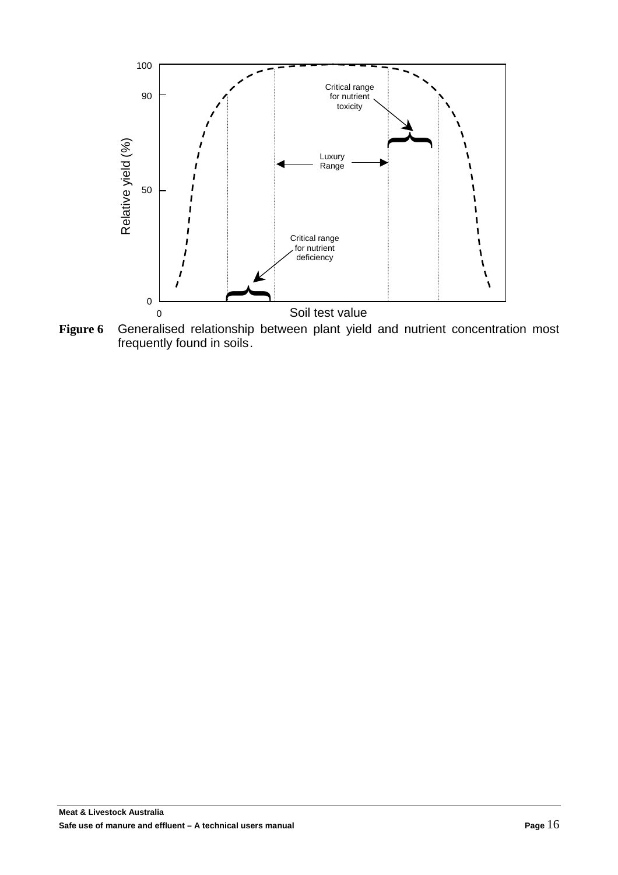

<span id="page-16-0"></span>**Figure 6** Generalised relationship between plant yield and nutrient concentration most frequently found in soil[s.](#page-19-1)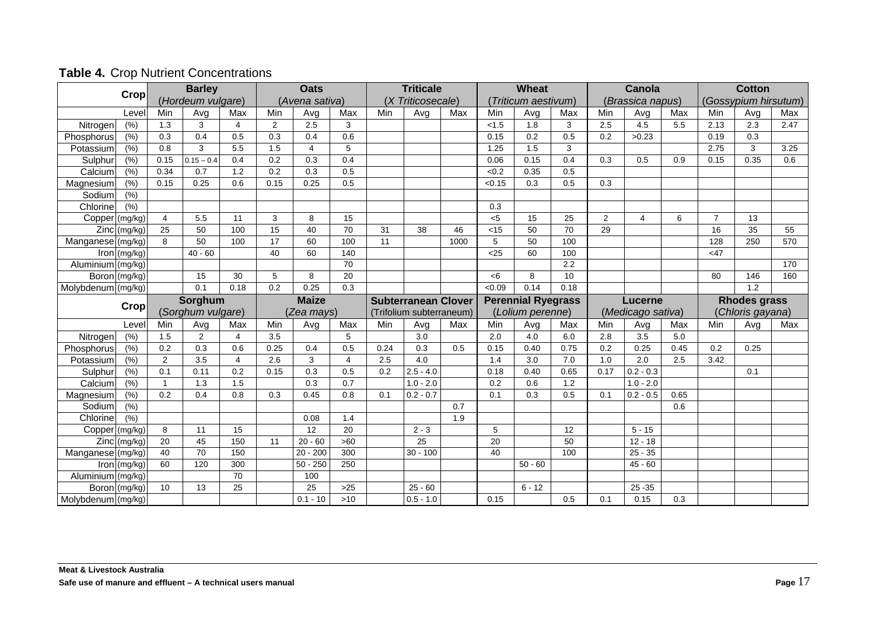#### **Table 4.** Crop Nutrient Concentrations

<span id="page-17-0"></span>

|                                     |                | <b>Barley</b>     |                |      | <b>Oats</b>      |                |      | <b>Triticale</b>           |      |        | Wheat                     |      |      | Canola            |      |                | <b>Cotton</b>        |      |
|-------------------------------------|----------------|-------------------|----------------|------|------------------|----------------|------|----------------------------|------|--------|---------------------------|------|------|-------------------|------|----------------|----------------------|------|
| Crop                                |                | (Hordeum vulgare) |                |      | (Avena sativa)   |                |      | (X Triticosecale)          |      |        | (Triticum aestivum)       |      |      | (Brassica napus)  |      |                | (Gossypium hirsutum) |      |
| Level                               | Min            | Avg               | Max            | Min  | Avg              | Max            | Min  | Avg                        | Max  | Min    | Avg                       | Max  | Min  | Avg               | Max  | Min            | Avg                  | Max  |
| (% )<br>Nitrogen                    | 1.3            | 3                 | 4              | 2    | 2.5              | 3              |      |                            |      | < 1.5  | 1.8                       | 3    | 2.5  | 4.5               | 5.5  | 2.13           | 2.3                  | 2.47 |
| (% )<br>Phosphorus                  | 0.3            | 0.4               | 0.5            | 0.3  | 0.4              | 0.6            |      |                            |      | 0.15   | 0.2                       | 0.5  | 0.2  | >0.23             |      | 0.19           | 0.3                  |      |
| (% )<br>Potassium                   | 0.8            | 3                 | 5.5            | 1.5  | $\overline{4}$   | 5              |      |                            |      | 1.25   | 1.5                       | 3    |      |                   |      | 2.75           | 3                    | 3.25 |
| (% )<br>Sulphur                     | 0.15           | $0.15 - 0.4$      | 0.4            | 0.2  | 0.3              | 0.4            |      |                            |      | 0.06   | 0.15                      | 0.4  | 0.3  | 0.5               | 0.9  | 0.15           | 0.35                 | 0.6  |
| Calcium<br>(% )                     | 0.34           | 0.7               | 1.2            | 0.2  | 0.3              | 0.5            |      |                            |      | < 0.2  | 0.35                      | 0.5  |      |                   |      |                |                      |      |
| (% )<br>Magnesium                   | 0.15           | 0.25              | 0.6            | 0.15 | 0.25             | 0.5            |      |                            |      | < 0.15 | 0.3                       | 0.5  | 0.3  |                   |      |                |                      |      |
| (%)<br>Sodium                       |                |                   |                |      |                  |                |      |                            |      |        |                           |      |      |                   |      |                |                      |      |
| (% )<br>Chlorine                    |                |                   |                |      |                  |                |      |                            |      | 0.3    |                           |      |      |                   |      |                |                      |      |
| Copper (mg/kg)                      | 4              | 5.5               | 11             | 3    | 8                | 15             |      |                            |      | < 5    | 15                        | 25   | 2    | 4                 | 6    | $\overline{7}$ | 13                   |      |
| $Zinc$ (mg/kg)                      | 25             | 50                | 100            | 15   | 40               | 70             | 31   | 38                         | 46   | < 15   | 50                        | 70   | 29   |                   |      | 16             | 35                   | 55   |
| Manganese (mg/kg)                   | 8              | $\overline{50}$   | 100            | 17   | 60               | 100            | 11   |                            | 1000 | 5      | 50                        | 100  |      |                   |      | 128            | 250                  | 570  |
| $Iron$ (mg/kg)                      |                | $40 - 60$         |                | 40   | 60               | 140            |      |                            |      | $<$ 25 | 60                        | 100  |      |                   |      | <47            |                      |      |
| Aluminium (mg/kg)                   |                |                   |                |      |                  | 70             |      |                            |      |        |                           | 2.2  |      |                   |      |                |                      | 170  |
| Boron (mg/kg)                       |                | 15                | 30             | 5    | 8                | 20             |      |                            |      | < 6    | 8                         | 10   |      |                   |      | 80             | 146                  | 160  |
| Molybdenum (mg/kg)                  |                | 0.1               | 0.18           | 0.2  | 0.25             | 0.3            |      |                            |      | < 0.09 | 0.14                      | 0.18 |      |                   |      |                | 1.2                  |      |
|                                     |                |                   |                |      |                  |                |      |                            |      |        |                           |      |      |                   |      |                |                      |      |
|                                     |                | Sorghum           |                |      | <b>Maize</b>     |                |      | <b>Subterranean Clover</b> |      |        | <b>Perennial Ryegrass</b> |      |      | <b>Lucerne</b>    |      |                | <b>Rhodes grass</b>  |      |
| <b>Crop</b>                         |                | (Sorghum vulgare) |                |      | (Zea mays)       |                |      | (Trifolium subterraneum)   |      |        | (Lolium perenne)          |      |      | (Medicago sativa) |      |                | (Chloris gayana)     |      |
| Level                               | Min            | Avg               | Max            | Min  | Avg              | Max            | Min  | Avg                        | Max  | Min    | Avg                       | Max  | Min  | Avg               | Max  | Min            | Avg                  | Max  |
| Nitrogen<br>(% )                    | 1.5            | 2                 | 4              | 3.5  |                  | 5              |      | 3.0                        |      | 2.0    | 4.0                       | 6.0  | 2.8  | 3.5               | 5.0  |                |                      |      |
| Phosphorus<br>(% )                  | 0.2            | 0.3               | 0.6            | 0.25 | 0.4              | 0.5            | 0.24 | 0.3                        | 0.5  | 0.15   | 0.40                      | 0.75 | 0.2  | 0.25              | 0.45 | 0.2            | 0.25                 |      |
| (% )<br>Potassium                   | $\overline{2}$ | 3.5               | $\overline{4}$ | 2.6  | 3                | 4              | 2.5  | 4.0                        |      | 1.4    | 3.0                       | 7.0  | 1.0  | 2.0               | 2.5  | 3.42           |                      |      |
| (% )<br>Sulphur                     | 0.1            | 0.11              | 0.2            | 0.15 | 0.3              | 0.5            | 0.2  | $2.5 - 4.0$                |      | 0.18   | 0.40                      | 0.65 | 0.17 | $0.2 - 0.3$       |      |                | 0.1                  |      |
| Calcium<br>(% )                     | $\mathbf{1}$   | 1.3               | 1.5            |      | 0.3              | 0.7            |      | $1.0 - 2.0$                |      | 0.2    | 0.6                       | 1.2  |      | $1.0 - 2.0$       |      |                |                      |      |
| (% )<br>Magnesium                   | 0.2            | 0.4               | 0.8            | 0.3  | 0.45             | 0.8            | 0.1  | $0.2 - 0.7$                |      | 0.1    | 0.3                       | 0.5  | 0.1  | $0.2 - 0.5$       | 0.65 |                |                      |      |
| (% )<br>Sodium                      |                |                   |                |      |                  |                |      |                            | 0.7  |        |                           |      |      |                   | 0.6  |                |                      |      |
| Chlorine<br>(% )                    |                |                   |                |      | 0.08             | 1.4            |      |                            | 1.9  |        |                           |      |      |                   |      |                |                      |      |
| Copper (mg/kg)                      | 8              | 11                | 15             |      | 12               | 20             |      | $2 - 3$                    |      | 5      |                           | 12   |      | $5 - 15$          |      |                |                      |      |
| Zinc (mg/kg)                        | 20             | 45                | 150            | 11   | $20 - 60$        | >60            |      | 25                         |      | 20     |                           | 50   |      | $12 - 18$         |      |                |                      |      |
| Manganese (mg/kg)                   | 40             | 70                | 150            |      | $20 - 200$       | 300            |      | $30 - 100$                 |      | 40     |                           | 100  |      | $25 - 35$         |      |                |                      |      |
| $Iron$ (mg/kg)                      | 60             | 120               | 300            |      | $50 - 250$       | 250            |      |                            |      |        | $50 - 60$                 |      |      | $45 - 60$         |      |                |                      |      |
| Aluminium (mg/kg)                   |                |                   | 70             |      | 100              |                |      |                            |      |        |                           |      |      |                   |      |                |                      |      |
| Boron (mg/kg)<br>Molybdenum (mg/kg) | 10             | 13                | 25             |      | 25<br>$0.1 - 10$ | $>25$<br>$>10$ |      | $25 - 60$<br>$0.5 - 1.0$   |      | 0.15   | $6 - 12$                  | 0.5  | 0.1  | $25 - 35$<br>0.15 | 0.3  |                |                      |      |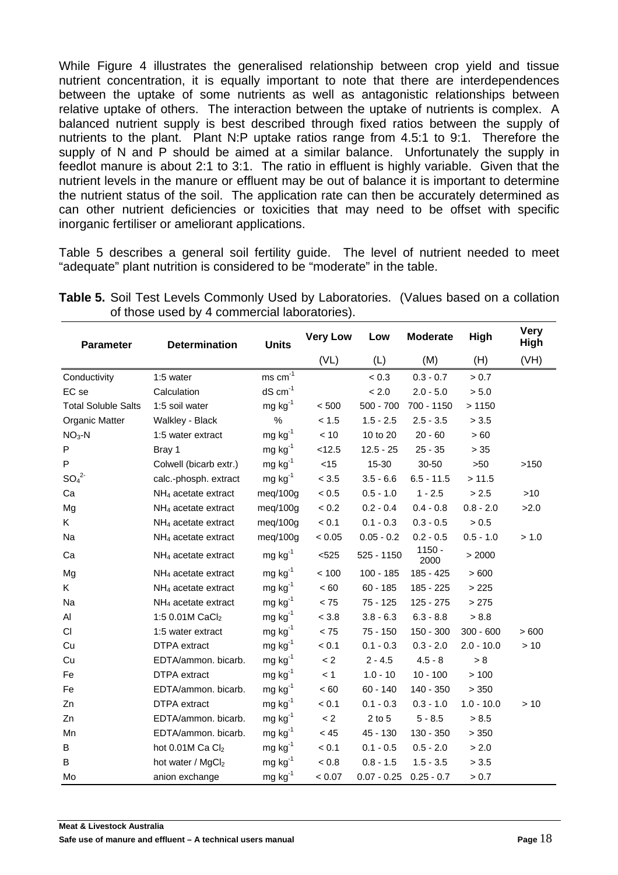While Figure 4 illustrates the generalised relationship between crop yield and tissue nutrient concentration, it is equally important to note that there are interdependences between the uptake of some nutrients as well as antagonistic relationships between relative uptake of others. The interaction between the uptake of nutrients is complex. A balanced nutrient supply is best described through fixed ratios between the supply of nutrients to the plant. Plant N:P uptake ratios range from 4.5:1 to 9:1. Therefore the supply of N and P should be aimed at a similar balance. Unfortunately the supply in feedlot manure is about 2:1 to 3:1. The ratio in effluent is highly variable. Given that the nutrient levels in the manure or effluent may be out of balance it is important to determine the nutrient status of the soil. The application rate can then be accurately determined as can other nutrient deficiencies or toxicities that may need to be offset with specific inorganic fertiliser or ameliorant applications.

Table 5 describes a general soil fertility guide. The level of nutrient needed to meet "adequate" plant nutrition is considered to be "moderate" in the table.

| <b>Parameter</b>             | <b>Determination</b>           | <b>Units</b>          | <b>Very Low</b> | Low           | <b>Moderate</b>  | High         | <b>Very</b><br>High |
|------------------------------|--------------------------------|-----------------------|-----------------|---------------|------------------|--------------|---------------------|
|                              |                                |                       | (VL)            | (L)           | (M)              | (H)          | (VH)                |
| Conductivity                 | 1:5 water                      | $ms$ $cm-1$           |                 | < 0.3         | $0.3 - 0.7$      | > 0.7        |                     |
| EC se                        | Calculation                    | $dS$ cm <sup>-1</sup> |                 | < 2.0         | $2.0 - 5.0$      | > 5.0        |                     |
| <b>Total Soluble Salts</b>   | 1:5 soil water                 | $mg kg^{-1}$          | < 500           | $500 - 700$   | 700 - 1150       | >1150        |                     |
| Organic Matter               | Walkley - Black                | %                     | < 1.5           | $1.5 - 2.5$   | $2.5 - 3.5$      | > 3.5        |                     |
| $NO3-N$                      | 1:5 water extract              | $mg$ kg <sup>-1</sup> | < 10            | 10 to 20      | $20 - 60$        | >60          |                     |
| P                            | Bray 1                         | $mg$ kg <sup>-1</sup> | < 12.5          | $12.5 - 25$   | $25 - 35$        | $>35$        |                     |
| P                            | Colwell (bicarb extr.)         | $mg$ kg <sup>-1</sup> | $<$ 15          | 15-30         | 30-50            | $>50$        | >150                |
| SO <sub>4</sub> <sup>2</sup> | calc.-phosph. extract          | $mg kg^{-1}$          | < 3.5           | $3.5 - 6.6$   | $6.5 - 11.5$     | > 11.5       |                     |
| Ca                           | $NH4$ acetate extract          | meg/100g              | < 0.5           | $0.5 - 1.0$   | $1 - 2.5$        | > 2.5        | >10                 |
| Mg                           | $NH4$ acetate extract          | meg/100g              | < 0.2           | $0.2 - 0.4$   | $0.4 - 0.8$      | $0.8 - 2.0$  | >2.0                |
| Κ                            | $NH4$ acetate extract          | meg/100g              | < 0.1           | $0.1 - 0.3$   | $0.3 - 0.5$      | > 0.5        |                     |
| Na                           | $NH4$ acetate extract          | meq/100g              | < 0.05          | $0.05 - 0.2$  | $0.2 - 0.5$      | $0.5 - 1.0$  | > 1.0               |
| Ca                           | $NH4$ acetate extract          | $mg$ kg <sup>-1</sup> | < 525           | $525 - 1150$  | $1150 -$<br>2000 | > 2000       |                     |
| Mg                           | $NH4$ acetate extract          | $mg$ kg <sup>-1</sup> | < 100           | $100 - 185$   | 185 - 425        | >600         |                     |
| K                            | $NH4$ acetate extract          | $mg kg^{-1}$          | $< 60$          | $60 - 185$    | 185 - 225        | >225         |                     |
| Na                           | $NH4$ acetate extract          | $mg kg^{-1}$          | < 75            | $75 - 125$    | $125 - 275$      | > 275        |                     |
| Al                           | 1:5 0.01M CaCl2                | $mg$ kg <sup>-1</sup> | < 3.8           | $3.8 - 6.3$   | $6.3 - 8.8$      | > 8.8        |                     |
| CI                           | 1:5 water extract              | $mg kg^{-1}$          | < 75            | 75 - 150      | $150 - 300$      | $300 - 600$  | >600                |
| Cu                           | DTPA extract                   | $mg kg^{-1}$          | < 0.1           | $0.1 - 0.3$   | $0.3 - 2.0$      | $2.0 - 10.0$ | >10                 |
| Cu                           | EDTA/ammon. bicarb.            | $mg$ kg <sup>-1</sup> | < 2             | $2 - 4.5$     | $4.5 - 8$        | > 8          |                     |
| Fe                           | <b>DTPA</b> extract            | $mg kg^{-1}$          | < 1             | $1.0 - 10$    | $10 - 100$       | > 100        |                     |
| Fe                           | EDTA/ammon. bicarb.            | $mg kg^{-1}$          | < 60            | $60 - 140$    | 140 - 350        | > 350        |                     |
| Zn                           | <b>DTPA</b> extract            | $mg kg^{-1}$          | < 0.1           | $0.1 - 0.3$   | $0.3 - 1.0$      | $1.0 - 10.0$ | >10                 |
| Zn                           | EDTA/ammon. bicarb.            | $mg kg^{-1}$          | $\lt 2$         | $2$ to $5$    | $5 - 8.5$        | > 8.5        |                     |
| Mn                           | EDTA/ammon. bicarb.            | $mg kg^{-1}$          | < 45            | 45 - 130      | 130 - 350        | > 350        |                     |
| B                            | hot $0.01M$ Ca Cl <sub>2</sub> | $mg kg^{-1}$          | < 0.1           | $0.1 - 0.5$   | $0.5 - 2.0$      | > 2.0        |                     |
| B                            | hot water / MgCl <sub>2</sub>  | $mg kg^{-1}$          | $0.8 =$         | $0.8 - 1.5$   | $1.5 - 3.5$      | > 3.5        |                     |
| Mo                           | anion exchange                 | $mg kg^{-1}$          | < 0.07          | $0.07 - 0.25$ | $0.25 - 0.7$     | > 0.7        |                     |

**Table 5.** Soil Test Levels Commonly Used by Laboratories. (Values based on a collation of those used by 4 commercial laboratories).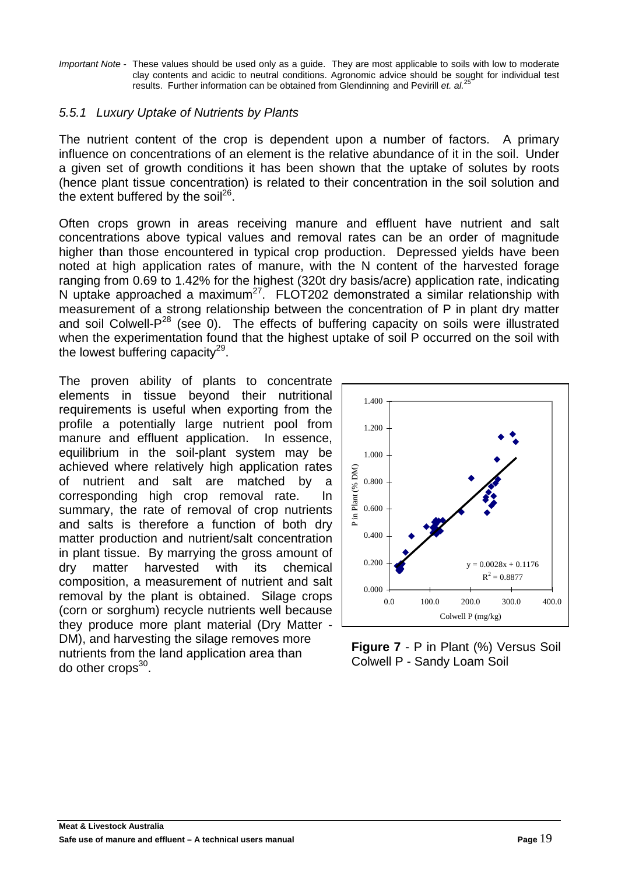*Important Note -* These values should be used only as a guide. They are most applicable to soils with low to moderate clay contents and acidic to neutral conditions. Agronomic advice should be sou[gh](#page-37-19)t for individual test results. Further information can be obtained from Glendinning [an](#page-13-1)d Pevirill *et. al.*<sup>25</sup>

#### <span id="page-19-0"></span>*5.5.1 Luxury Uptake of Nutrients by Plants*

The nutrient content of the crop is dependent upon a number of factors. A primary influence on concentrations of an element is the relative abundance of it in the soil. Under a given set of growth conditions it has been shown that the uptake of solutes by roots (hence plant tissue concentration) is related to their concentration in the soil solution and the extent buffered by the soil<sup>26</sup>.

Often crops grown in areas receiving manure and effluent have nutrient and salt concentrations above typical values and removal rates can be an order of magnitude higher than those encountered in typical crop production. Depressed yields have been noted at high application rates of manure, with the N content of the harvested forage ranging from 0.69 to 1.42% for the highest (320t dry basis/acre) application rate, indicating N uptake approached a maximum<sup>27</sup>. FLOT202 demonstrated a similar relationship with measurement of a strong relationship between the concentration of P in plant dry matter and soil Colwell- $P^{28}$  (see [0\)](#page-20-1). The effects of buffering capacity on soils were illustrated when the experimentation found that the highest uptake of soil P occurred on the soil with the lowest buffering capacity<sup>29</sup>.

<span id="page-19-2"></span>The proven ability of plants to concentrate elements in tissue beyond their nutritional requirements is useful when exporting from the profile a potentially large nutrient pool from manure and effluent application. In essence, equilibrium in the soil-plant system may be achieved where relatively high application rates of nutrient and salt are matched by a corresponding high crop removal rate. In summary, the rate of removal of crop nutrients and salts is therefore a function of both dry matter production and nutrient/salt concentration in plant tissue. By marrying the gross amount of dry matter harvested with its chemical composition, a measurement of nutrient and salt removal by the plant is obtained. Silage crops (corn or sorghum) recycle nutrients well because they produce more plant material (Dry Matter - DM), and harvesting the silage removes more **Figure 7** - P in Plant (%) Versus Soil nutrients from the land application area than  $\begin{array}{c} \n\text{Figure 7 - Find } \text{F} \\
\text{Colwell P - Sandy Loan Soil}\n\end{array}$ do other crops $30<sub>1</sub>$ .

<span id="page-19-1"></span>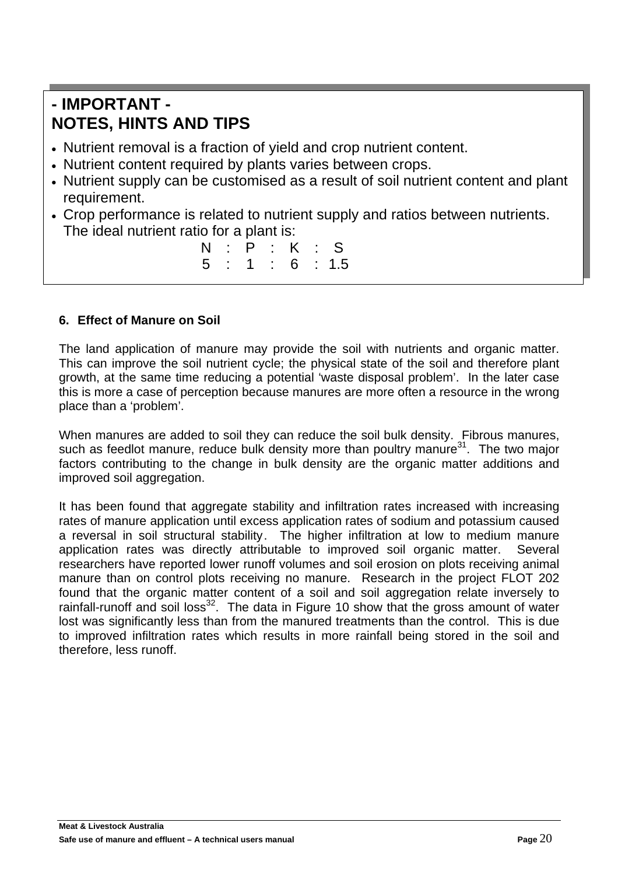### <span id="page-20-1"></span><span id="page-20-0"></span>**- IMPORTANT - NOTES, HINTS AND TIPS**

- Nutrient removal is a fraction of yield and crop nutrient content.
- Nutrient content required by plants varies between crops.
- Nutrient supply can be customised as a result of soil nutrient content and plant requirement.
- Crop performance is related to nutrient supply and ratios between nutrients. The ideal nutrient ratio for a plant is:

<span id="page-20-2"></span>

|  |  |  | $N$ : $P$ : $K$ : $S$ |
|--|--|--|-----------------------|
|  |  |  | 5 : 1 : 6 : 1.5       |

#### **6. Effect of Manure on Soil**

The land application of manure may provide the soil with nutrients and organic matter. This can improve the soil nutrient cycle; the physical state of the soil and therefore plant growth, at the same time reducing a potential 'waste disposal problem'. In the later case this is more a case of perception because manures are more often a resource in the wrong place than a 'problem'.

When manures are added to soil they can reduce the soil bulk density. Fibrous manures, such as feedlot manure, reduce bulk density more than poultry manure<sup>31</sup>. The two major factors contributing to the change in bulk density are the organic matter additions and improved soil aggregation.

It has been found that aggregate stability and infiltration rates increased with increasing rates of manure application until excess application rates of sodium and potassium caused a reversal in soil structural stabilit[y.](#page-20-2) The higher infiltration at low to medium manure application rates was directly attributable to improved soil organic matter. Several researchers have reported lower runoff volumes and soil erosion on plots receiving animal manure than on control plots receiving no manure. Research in the project FLOT 202 found that the organic matter content of a soil and soil aggregation relate inversely to rainfall-runoff and soil loss<sup>32</sup>. The data in [Figure 10](#page-21-0) show that the gross amount of water lost was significantly less than from the manured treatments than the control. This is due to improved infiltration rates which results in more rainfall being stored in the soil and therefore, less runoff.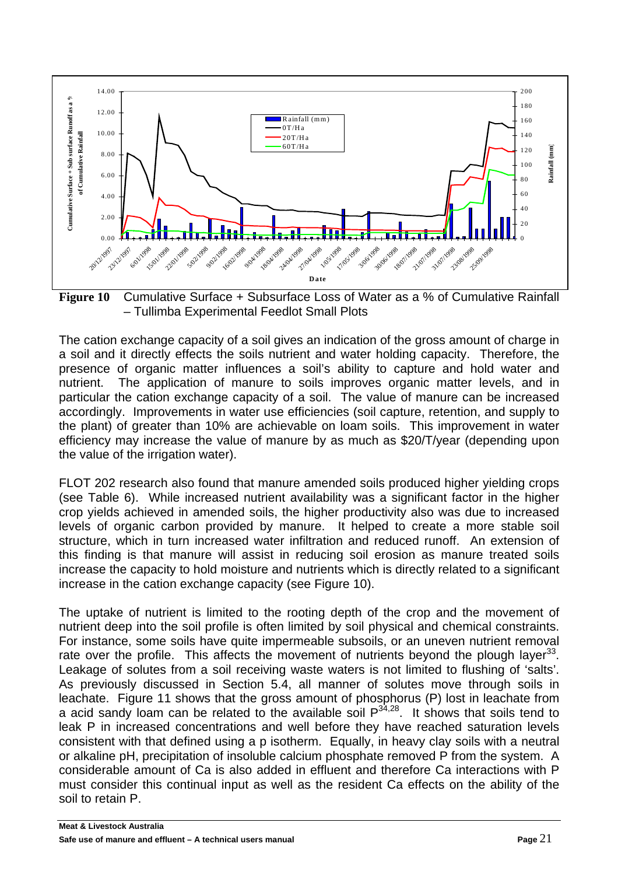

<span id="page-21-0"></span>**Figure 10** Cumulative Surface + Subsurface Loss of Water as a % of Cumulative Rainfall – Tullimba Experimental Feedlot Small Plots

The cation exchange capacity of a soil gives an indication of the gross amount of charge in a soil and it directly effects the soils nutrient and water holding capacity. Therefore, the presence of organic matter influences a soil's ability to capture and hold water and nutrient. The application of manure to soils improves organic matter levels, and in particular the cation exchange capacity of a soil. The value of manure can be increased accordingly. Improvements in water use efficiencies (soil capture, retention, and supply to the plant) of greater than 10% are achievable on loam soils. This improvement in water efficiency may increase the value of manure by as much as \$20/T/year (depending upon the value of the irrigation water).

FLOT 202 research also found that manure amended soils produced higher yielding crops (see [Table 6\)](#page-22-0). While increased nutrient availability was a significant factor in the higher crop yields achieved in amended soils, the higher productivity also was due to increased levels of organic carbon provided by manure. It helped to create a more stable soil structure, which in turn increased water infiltration and reduced runoff. An extension of this finding is that manure will assist in reducing soil erosion as manure treated soils increase the capacity to hold moisture and nutrients which is directly related to a significant increase in the cation exchange capacity (see [Figure 10\)](#page-21-0).

The uptake of nutrient is limited to the rooting depth of the crop and the movement of nutrient deep into the soil profile is often limited by soil physical and chemical constraints. For instance, some soils have quite impermeable subsoils, or an uneven nutrient removal rate over the profile. This affects the movement of nutrients beyond the plough layer<sup>33</sup>. Leakage of solutes from a soil receiving waste waters is not limited to flushing of 'salts'. As previously discussed in Section [5.4,](#page-13-0) all manner of solutes move through soils in leachate. [Figure 11](#page-23-0) shows that the gross amount of phosphorus (P) lost in leachate from a acid sandy loam can be related to the available soil  $P^{34,28}$  $P^{34,28}$  $P^{34,28}$ . It shows that soils tend to leak P in increased concentrations and well before they have reached saturation levels consistent with that defined using a p isotherm. Equally, in heavy clay soils with a neutral or alkaline pH, precipitation of insoluble calcium phosphate removed P from the system. A considerable amount of Ca is also added in effluent and therefore Ca interactions with P must consider this continual input as well as the resident Ca effects on the ability of the soil to retain P.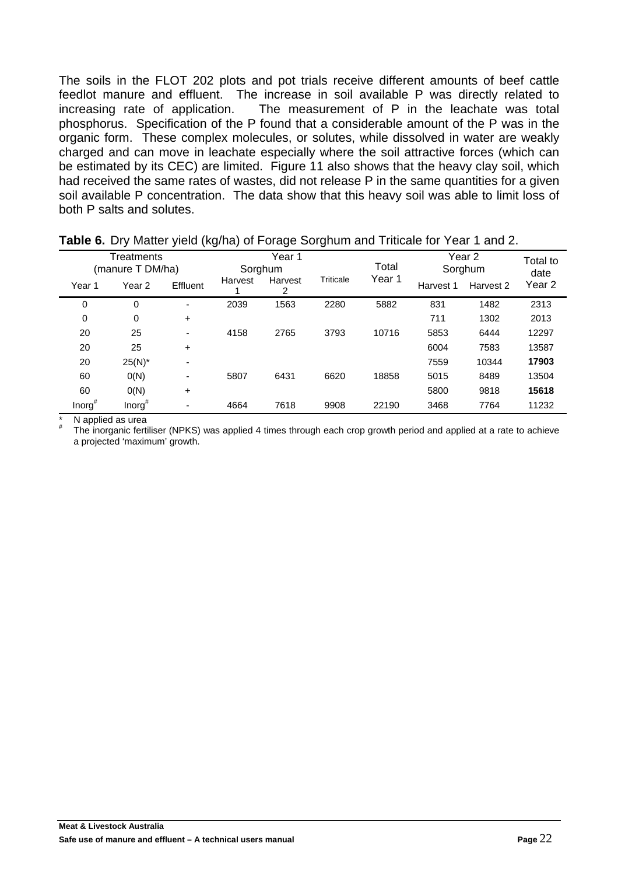The soils in the FLOT 202 plots and pot trials receive different amounts of beef cattle feedlot manure and effluent. The increase in soil available P was directly related to increasing rate of application. The measurement of P in the leachate was total phosphorus. Specification of the P found that a considerable amount of the P was in the organic form. These complex molecules, or solutes, while dissolved in water are weakly charged and can move in leachate especially where the soil attractive forces (which can be estimated by its CEC) are limited. [Figure 11](#page-23-0) also shows that the heavy clay soil, which had received the same rates of wastes, did not release P in the same quantities for a given soil available P concentration. The data show that this heavy soil was able to limit loss of both P salts and solutes.

|                    | Treatments<br>(manure T DM/ha) |                | Year 1<br>Sorghum |              |           | Total  | Year 2<br>Sorghum | Total to<br>date |        |
|--------------------|--------------------------------|----------------|-------------------|--------------|-----------|--------|-------------------|------------------|--------|
| Year 1             | Year 2                         | Effluent       | Harvest           | Harvest<br>2 | Triticale | Year 1 | Harvest 1         | Harvest 2        | Year 2 |
| 0                  | 0                              | $\blacksquare$ | 2039              | 1563         | 2280      | 5882   | 831               | 1482             | 2313   |
| $\mathbf 0$        | 0                              | $\ddot{}$      |                   |              |           |        | 711               | 1302             | 2013   |
| 20                 | 25                             | $\blacksquare$ | 4158              | 2765         | 3793      | 10716  | 5853              | 6444             | 12297  |
| 20                 | 25                             | $\pm$          |                   |              |           |        | 6004              | 7583             | 13587  |
| 20                 | $25(N)^*$                      | -              |                   |              |           |        | 7559              | 10344            | 17903  |
| 60                 | O(N)                           | $\blacksquare$ | 5807              | 6431         | 6620      | 18858  | 5015              | 8489             | 13504  |
| 60                 | O(N)                           | $\ddot{}$      |                   |              |           |        | 5800              | 9818             | 15618  |
| Inorg <sup>#</sup> | Inorg <sup>#</sup>             |                | 4664              | 7618         | 9908      | 22190  | 3468              | 7764             | 11232  |

<span id="page-22-0"></span>

|  |  |  |  |  |  |  | Table 6. Dry Matter yield (kg/ha) of Forage Sorghum and Triticale for Year 1 and 2. |
|--|--|--|--|--|--|--|-------------------------------------------------------------------------------------|
|--|--|--|--|--|--|--|-------------------------------------------------------------------------------------|

N applied as urea<br>The inorganic fertiliser (NPKS) was applied 4 times through each crop growth period and applied at a rate to achieve a projected 'maximum' growth.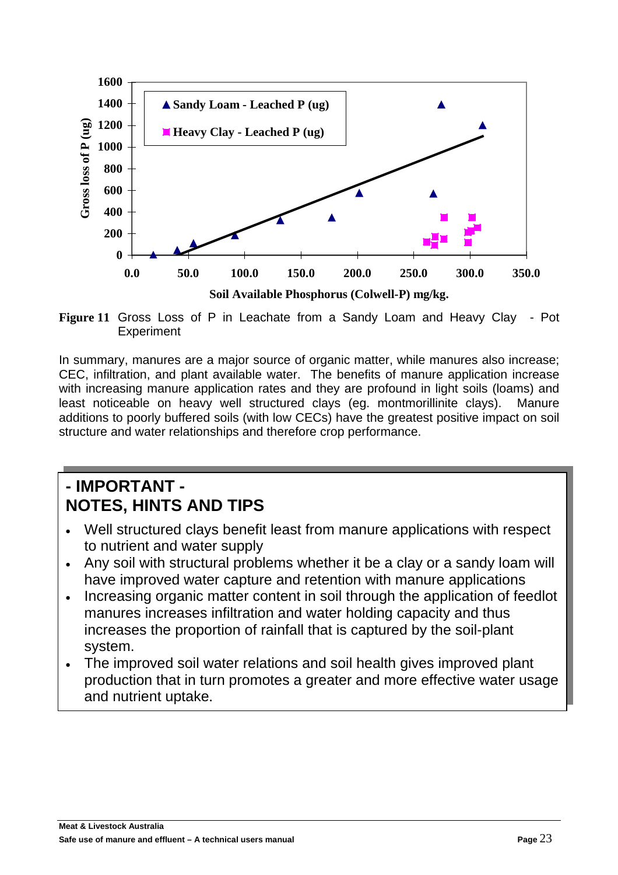![](_page_23_Figure_0.jpeg)

<span id="page-23-0"></span>**Figure 11** Gross Loss of P in Leachate from a Sandy Loam and Heavy Clay - Pot **Experiment** 

In summary, manures are a major source of organic matter, while manures also increase; CEC, infiltration, and plant available water. The benefits of manure application increase with increasing manure application rates and they are profound in light soils (loams) and least noticeable on heavy well structured clays (eg. montmorillinite clays). Manure additions to poorly buffered soils (with low CECs) have the greatest positive impact on soil structure and water relationships and therefore crop performance.

### **- IMPORTANT - NOTES, HINTS AND TIPS**

- Well structured clays benefit least from manure applications with respect to nutrient and water supply
- Any soil with structural problems whether it be a clay or a sandy loam will have improved water capture and retention with manure applications
- Increasing organic matter content in soil through the application of feedlot manures increases infiltration and water holding capacity and thus increases the proportion of rainfall that is captured by the soil-plant system.
- The improved soil water relations and soil health gives improved plant production that in turn promotes a greater and more effective water usage and nutrient uptake.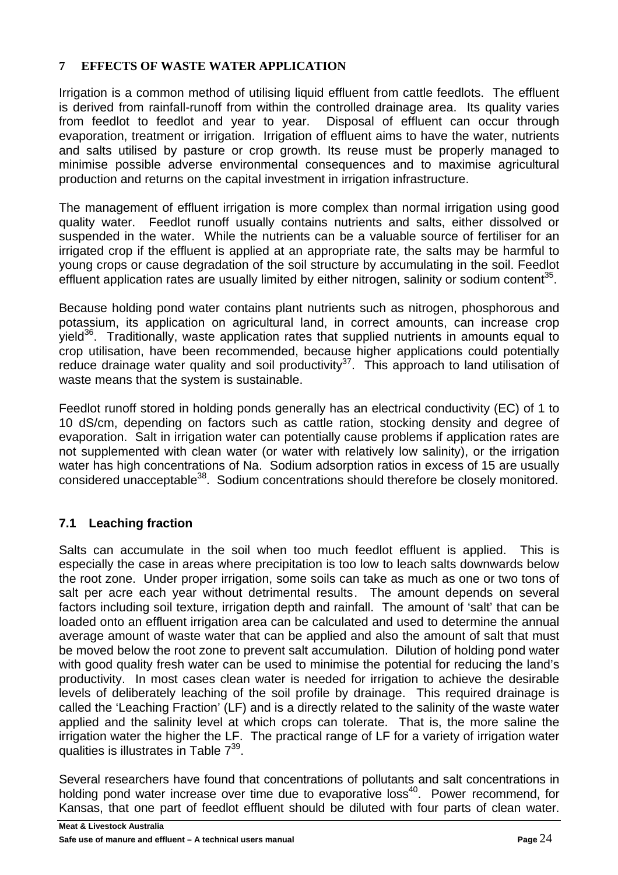#### **7 EFFECTS OF WASTE WATER APPLICATION**

Irrigation is a common method of utilising liquid effluent from cattle feedlots. The effluent is derived from rainfall-runoff from within the controlled drainage area. Its quality varies from feedlot to feedlot and year to year. Disposal of effluent can occur through evaporation, treatment or irrigation. Irrigation of effluent aims to have the water, nutrients and salts utilised by pasture or crop growth. Its reuse must be properly managed to minimise possible adverse environmental consequences and to maximise agricultural production and returns on the capital investment in irrigation infrastructure.

The management of effluent irrigation is more complex than normal irrigation using good quality water. Feedlot runoff usually contains nutrients and salts, either dissolved or suspended in the water. While the nutrients can be a valuable source of fertiliser for an irrigated crop if the effluent is applied at an appropriate rate, the salts may be harmful to young crops or cause degradation of the soil structure by accumulating in the soil. Feedlot effluent application rates are usually limited by either nitrogen, salinity or sodium content<sup>35</sup>.

<span id="page-24-1"></span>Because holding pond water contains plant nutrients such as nitrogen, phosphorous and potassium, its application on agricultural land, in correct amounts, can increase crop yield<sup>36</sup>. Traditionally, waste application rates that supplied nutrients in amounts equal to crop utilisation, have been recommended, because higher applications could potentially reduce drainage water quality and soil productivity<sup>37</sup>. This approach to land utilisation of waste means that the system is sustainable.

Feedlot runoff stored in holding ponds generally has an electrical conductivity (EC) of 1 to 10 dS/cm, depending on factors such as cattle ration, stocking density and degree of evaporation. Salt in irrigation water can potentially cause problems if application rates are not supplemented with clean water (or water with relatively low salinity), or the irrigation water has high concentrations of Na. Sodium adsorption ratios in excess of 15 are usually considered unacceptable<sup>38</sup>. Sodium concentrations should therefore be closely monitored.

#### **7.1 Leaching fraction**

Salts can accumulate in the soil when too much feedlot effluent is applied. This is especially the case in areas where precipitation is too low to leach salts downwards below the root zone. Under proper irrigation, some soils can take as much as one or two tons of salt per acre each year without detrimental result[s.](#page-24-1) The amount depends on several factors including soil texture, irrigation depth and rainfall. The amount of 'salt' that can be loaded onto an effluent irrigation area can be calculated and used to determine the annual average amount of waste water that can be applied and also the amount of salt that must be moved below the root zone to prevent salt accumulation. Dilution of holding pond water with good quality fresh water can be used to minimise the potential for reducing the land's productivity. In most cases clean water is needed for irrigation to achieve the desirable levels of deliberately leaching of the soil profile by drainage. This required drainage is called the 'Leaching Fraction' (LF) and is a directly related to the salinity of the waste water applied and the salinity level at which crops can tolerate. That is, the more saline the irrigation water the higher the LF. The practical range of LF for a variety of irrigation water qualities is illustrates in Table  $7^{39}$ .

<span id="page-24-0"></span>Several researchers have found that concentrations of pollutants and salt concentrations in holding pond water increase over time due to evaporative loss<sup>40</sup>. Pow[er r](#page-24-1)ecommend, for Kansas, that one part of feedlot effluent should be diluted with four parts of clean water.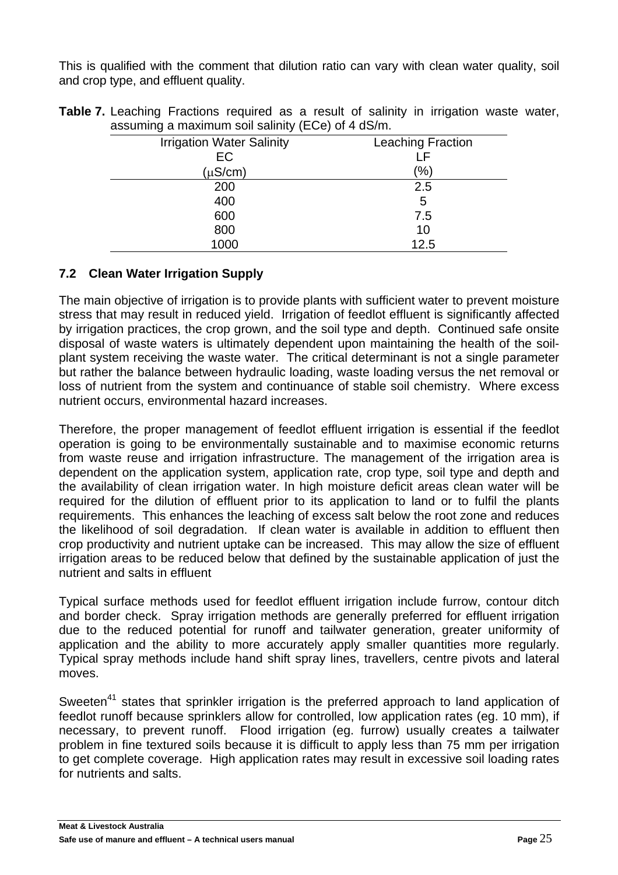This is qualified with the comment that dilution ratio can vary with clean water quality, soil and crop type, and effluent quality.

<span id="page-25-0"></span>

| <b>Irrigation Water Salinity</b> | <b>Leaching Fraction</b> |
|----------------------------------|--------------------------|
| EC                               | ΙF                       |
| $(\mu S/cm)$                     | (%)                      |
| 200                              | 2.5                      |
| 400                              | 5                        |
| 600                              | 7.5                      |
| 800                              | 10                       |
| 1000                             | 12.5                     |

**Table 7.** Leaching Fractions required as a result of salinity in irrigation waste water, assuming a maximum soil salinity (ECe) of 4 dS/m.

#### **7.2 Clean Water Irrigation Supply**

The main objective of irrigation is to provide plants with sufficient water to prevent moisture stress that may result in reduced yield. Irrigation of feedlot effluent is significantly affected by irrigation practices, the crop grown, and the soil type and depth. Continued safe onsite disposal of waste waters is ultimately dependent upon maintaining the health of the soilplant system receiving the waste water. The critical determinant is not a single parameter but rather the balance between hydraulic loading, waste loading versus the net removal or loss of nutrient from the system and continuance of stable soil chemistry. Where excess nutrient occurs, environmental hazard increases.

Therefore, the proper management of feedlot effluent irrigation is essential if the feedlot operation is going to be environmentally sustainable and to maximise economic returns from waste reuse and irrigation infrastructure. The management of the irrigation area is dependent on the application system, application rate, crop type, soil type and depth and the availability of clean irrigation water. In high moisture deficit areas clean water will be required for the dilution of effluent prior to its application to land or to fulfil the plants requirements. This enhances the leaching of excess salt below the root zone and reduces the likelihood of soil degradation. If clean water is available in addition to effluent then crop productivity and nutrient uptake can be increased. This may allow the size of effluent irrigation areas to be reduced below that defined by the sustainable application of just the nutrient and salts in effluent

Typical surface methods used for feedlot effluent irrigation include furrow, contour ditch and border check. Spray irrigation methods are generally preferred for effluent irrigation due to the reduced potential for runoff and tailwater generation, greater uniformity of application and the ability to more accurately apply smaller quantities more regularly. Typical spray methods include hand shift spray lines, travellers, centre pivots and lateral moves.

Sweeten<sup>41</sup> states that sprinkler irrigation is the preferred approach to land application of feedlot runoff because sprinklers allow for controlled, low application rates (eg. 10 mm), if necessary, to prevent runoff. Flood irrigation (eg. furrow) usually creates a tailwater problem in fine textured soils because it is difficult to apply less than 75 mm per irrigation to get complete coverage. High application rates may result in excessive soil loading rates for nutrients and salts.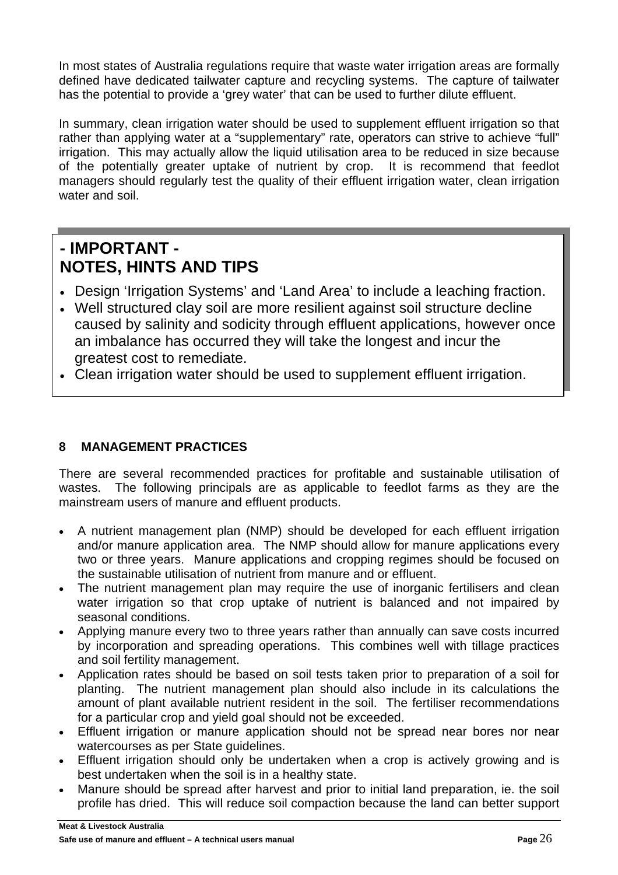In most states of Australia regulations require that waste water irrigation areas are formally defined have dedicated tailwater capture and recycling systems. The capture of tailwater has the potential to provide a 'grey water' that can be used to further dilute effluent.

In summary, clean irrigation water should be used to supplement effluent irrigation so that rather than applying water at a "supplementary" rate, operators can strive to achieve "full" irrigation. This may actually allow the liquid utilisation area to be reduced in size because of the potentially greater uptake of nutrient by crop. It is recommend that feedlot managers should regularly test the quality of their effluent irrigation water, clean irrigation water and soil.

### **- IMPORTANT - NOTES, HINTS AND TIPS**

- Design 'Irrigation Systems' and 'Land Area' to include a leaching fraction.
- Well structured clay soil are more resilient against soil structure decline caused by salinity and sodicity through effluent applications, however once an imbalance has occurred they will take the longest and incur the greatest cost to remediate.
- Clean irrigation water should be used to supplement effluent irrigation.

#### **8 MANAGEMENT PRACTICES**

There are several recommended practices for profitable and sustainable utilisation of wastes. The following principals are as applicable to feedlot farms as they are the mainstream users of manure and effluent products.

- A nutrient management plan (NMP) should be developed for each effluent irrigation and/or manure application area. The NMP should allow for manure applications every two or three years. Manure applications and cropping regimes should be focused on the sustainable utilisation of nutrient from manure and or effluent.
- The nutrient management plan may require the use of inorganic fertilisers and clean water irrigation so that crop uptake of nutrient is balanced and not impaired by seasonal conditions.
- Applying manure every two to three years rather than annually can save costs incurred by incorporation and spreading operations. This combines well with tillage practices and soil fertility management.
- Application rates should be based on soil tests taken prior to preparation of a soil for planting. The nutrient management plan should also include in its calculations the amount of plant available nutrient resident in the soil. The fertiliser recommendations for a particular crop and yield goal should not be exceeded.
- Effluent irrigation or manure application should not be spread near bores nor near watercourses as per State guidelines.
- Effluent irrigation should only be undertaken when a crop is actively growing and is best undertaken when the soil is in a healthy state.
- Manure should be spread after harvest and prior to initial land preparation, ie. the soil profile has dried. This will reduce soil compaction because the land can better support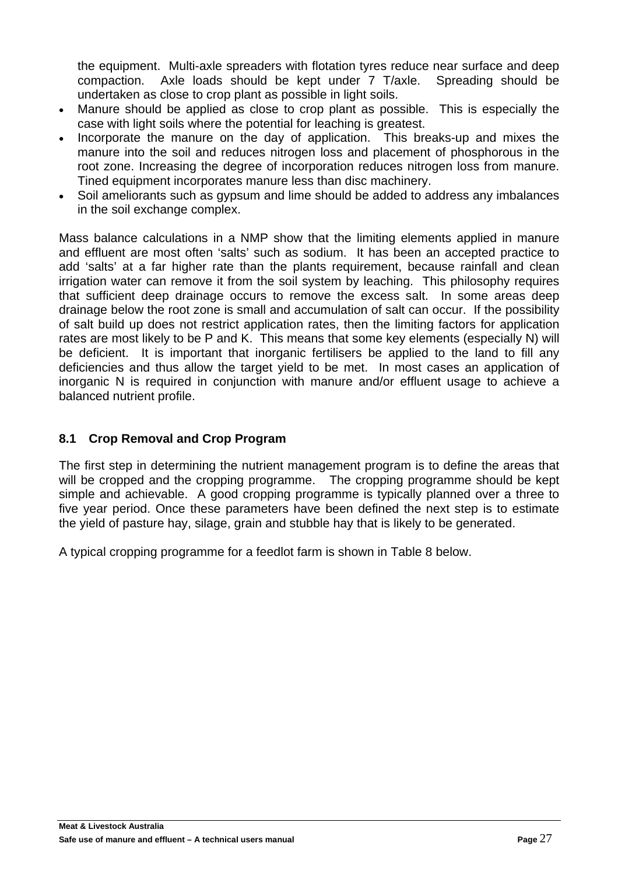the equipment. Multi-axle spreaders with flotation tyres reduce near surface and deep compaction. Axle loads should be kept under 7 T/axle. Spreading should be undertaken as close to crop plant as possible in light soils.

- Manure should be applied as close to crop plant as possible. This is especially the case with light soils where the potential for leaching is greatest.
- Incorporate the manure on the day of application. This breaks-up and mixes the manure into the soil and reduces nitrogen loss and placement of phosphorous in the root zone. Increasing the degree of incorporation reduces nitrogen loss from manure. Tined equipment incorporates manure less than disc machinery.
- Soil ameliorants such as gypsum and lime should be added to address any imbalances in the soil exchange complex.

Mass balance calculations in a NMP show that the limiting elements applied in manure and effluent are most often 'salts' such as sodium. It has been an accepted practice to add 'salts' at a far higher rate than the plants requirement, because rainfall and clean irrigation water can remove it from the soil system by leaching. This philosophy requires that sufficient deep drainage occurs to remove the excess salt. In some areas deep drainage below the root zone is small and accumulation of salt can occur. If the possibility of salt build up does not restrict application rates, then the limiting factors for application rates are most likely to be P and K. This means that some key elements (especially N) will be deficient. It is important that inorganic fertilisers be applied to the land to fill any deficiencies and thus allow the target yield to be met. In most cases an application of inorganic N is required in conjunction with manure and/or effluent usage to achieve a balanced nutrient profile.

#### **8.1 Crop Removal and Crop Program**

The first step in determining the nutrient management program is to define the areas that will be cropped and the cropping programme. The cropping programme should be kept simple and achievable. A good cropping programme is typically planned over a three to five year period. Once these parameters have been defined the next step is to estimate the yield of pasture hay, silage, grain and stubble hay that is likely to be generated.

A typical cropping programme for a feedlot farm is shown in [Table 8 below.](#page-28-0)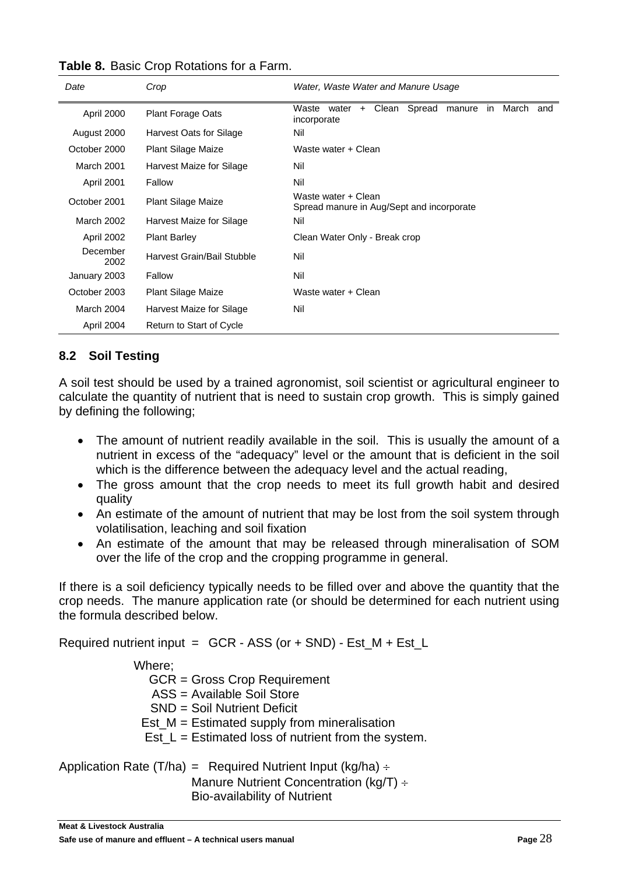| Date              | Crop                       | Water, Waste Water and Manure Usage                                                     |
|-------------------|----------------------------|-----------------------------------------------------------------------------------------|
| April 2000        | Plant Forage Oats          | Spread<br>March<br>Waste<br>Clean<br>water<br>$+$<br>manure<br>in<br>and<br>incorporate |
| August 2000       | Harvest Oats for Silage    | Nil                                                                                     |
| October 2000      | Plant Silage Maize         | Waste water + Clean                                                                     |
| March 2001        | Harvest Maize for Silage   | Nil                                                                                     |
| April 2001        | Fallow                     | Nil                                                                                     |
| October 2001      | Plant Silage Maize         | Waste water + Clean<br>Spread manure in Aug/Sept and incorporate                        |
| <b>March 2002</b> | Harvest Maize for Silage   | Nil                                                                                     |
| April 2002        | <b>Plant Barley</b>        | Clean Water Only - Break crop                                                           |
| December<br>2002  | Harvest Grain/Bail Stubble | Nil                                                                                     |
| January 2003      | Fallow                     | Nil                                                                                     |
| October 2003      | Plant Silage Maize         | Waste water + Clean                                                                     |
| March 2004        | Harvest Maize for Silage   | Nil                                                                                     |
| April 2004        | Return to Start of Cycle   |                                                                                         |

#### <span id="page-28-0"></span>**Table 8.** Basic Crop Rotations for a Farm.

#### **8.2 Soil Testing**

A soil test should be used by a trained agronomist, soil scientist or agricultural engineer to calculate the quantity of nutrient that is need to sustain crop growth. This is simply gained by defining the following;

- The amount of nutrient readily available in the soil. This is usually the amount of a nutrient in excess of the "adequacy" level or the amount that is deficient in the soil which is the difference between the adequacy level and the actual reading,
- The gross amount that the crop needs to meet its full growth habit and desired quality
- An estimate of the amount of nutrient that may be lost from the soil system through volatilisation, leaching and soil fixation
- An estimate of the amount that may be released through mineralisation of SOM over the life of the crop and the cropping programme in general.

If there is a soil deficiency typically needs to be filled over and above the quantity that the crop needs. The manure application rate (or should be determined for each nutrient using the formula described below.

Required nutrient input =  $GCR - ASS (or + SND) - Est M + Est L$ 

#### Where;

- GCR = Gross Crop Requirement
- ASS = Available Soil Store
- SND = Soil Nutrient Deficit
- Est  $M =$  Estimated supply from mineralisation
- Est  $L =$  Estimated loss of nutrient from the system.

Application Rate (T/ha) = Required Nutrient Input (kg/ha)  $\div$ Manure Nutrient Concentration (kg/T) ÷ Bio-availability of Nutrient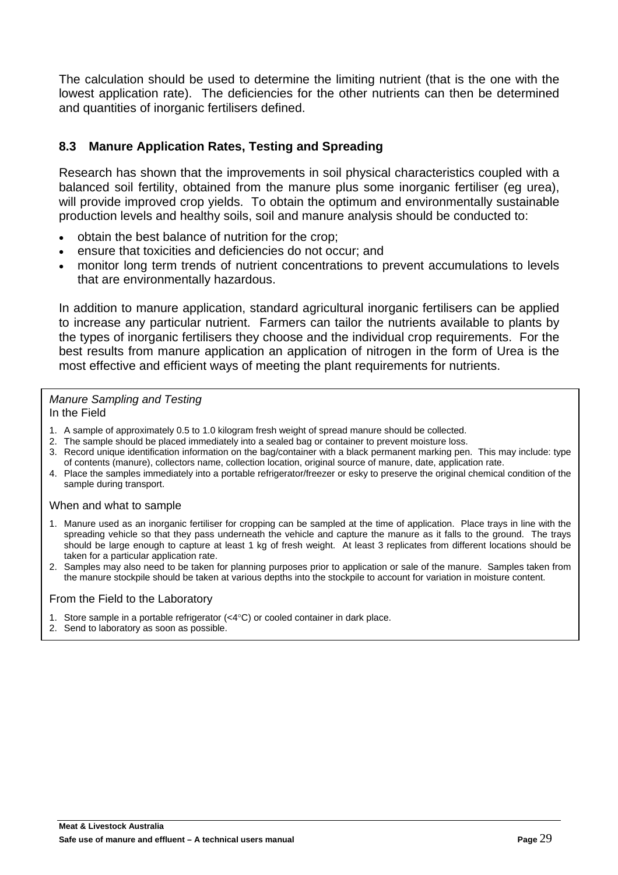The calculation should be used to determine the limiting nutrient (that is the one with the lowest application rate). The deficiencies for the other nutrients can then be determined and quantities of inorganic fertilisers defined.

#### **8.3 Manure Application Rates, Testing and Spreading**

Research has shown that the improvements in soil physical characteristics coupled with a balanced soil fertility, obtained from the manure plus some inorganic fertiliser (eg urea), will provide improved crop yields. To obtain the optimum and environmentally sustainable production levels and healthy soils, soil and manure analysis should be conducted to:

- obtain the best balance of nutrition for the crop;
- ensure that toxicities and deficiencies do not occur; and
- monitor long term trends of nutrient concentrations to prevent accumulations to levels that are environmentally hazardous.

In addition to manure application, standard agricultural inorganic fertilisers can be applied to increase any particular nutrient. Farmers can tailor the nutrients available to plants by the types of inorganic fertilisers they choose and the individual crop requirements. For the best results from manure application an application of nitrogen in the form of Urea is the most effective and efficient ways of meeting the plant requirements for nutrients.

#### *Manure Sampling and Testing* In the Field

- 1. A sample of approximately 0.5 to 1.0 kilogram fresh weight of spread manure should be collected.
- 2. The sample should be placed immediately into a sealed bag or container to prevent moisture loss.
- 3. Record unique identification information on the bag/container with a black permanent marking pen. This may include: type of contents (manure), collectors name, collection location, original source of manure, date, application rate.
- 4. Place the samples immediately into a portable refrigerator/freezer or esky to preserve the original chemical condition of the sample during transport.

#### When and what to sample

- 1. Manure used as an inorganic fertiliser for cropping can be sampled at the time of application. Place trays in line with the spreading vehicle so that they pass underneath the vehicle and capture the manure as it falls to the ground. The trays should be large enough to capture at least 1 kg of fresh weight. At least 3 replicates from different locations should be taken for a particular application rate.
- 2. Samples may also need to be taken for planning purposes prior to application or sale of the manure. Samples taken from the manure stockpile should be taken at various depths into the stockpile to account for variation in moisture content.

#### From the Field to the Laboratory

- 1. Store sample in a portable refrigerator (<4°C) or cooled container in dark place.
- 2. Send to laboratory as soon as possible.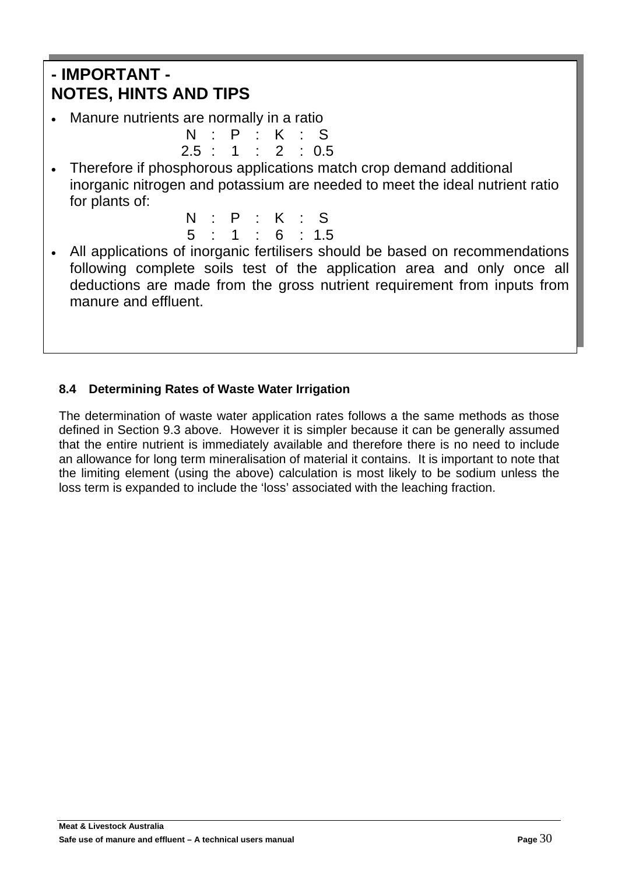# **- IMPORTANT - NOTES, HINTS AND TIPS**

• Manure nutrients are normally in a ratio

N : P : K : S  $2.5 \cdot 1 \cdot 2 \cdot 0.5$ 

• Therefore if phosphorous applications match crop demand additional inorganic nitrogen and potassium are needed to meet the ideal nutrient ratio for plants of:

$$
\begin{array}{cccccc} N & : & P & : & K & : & S \\ 5 & : & 1 & : & 6 & : 1.5 \end{array}
$$

• All applications of inorganic fertilisers should be based on recommendations following complete soils test of the application area and only once all deductions are made from the gross nutrient requirement from inputs from manure and effluent.

### **8.4 Determining Rates of Waste Water Irrigation**

The determination of waste water application rates follows a the same methods as those defined in Section 9.3 above. However it is simpler because it can be generally assumed that the entire nutrient is immediately available and therefore there is no need to include an allowance for long term mineralisation of material it contains. It is important to note that the limiting element (using the above) calculation is most likely to be sodium unless the loss term is expanded to include the 'loss' associated with the leaching fraction.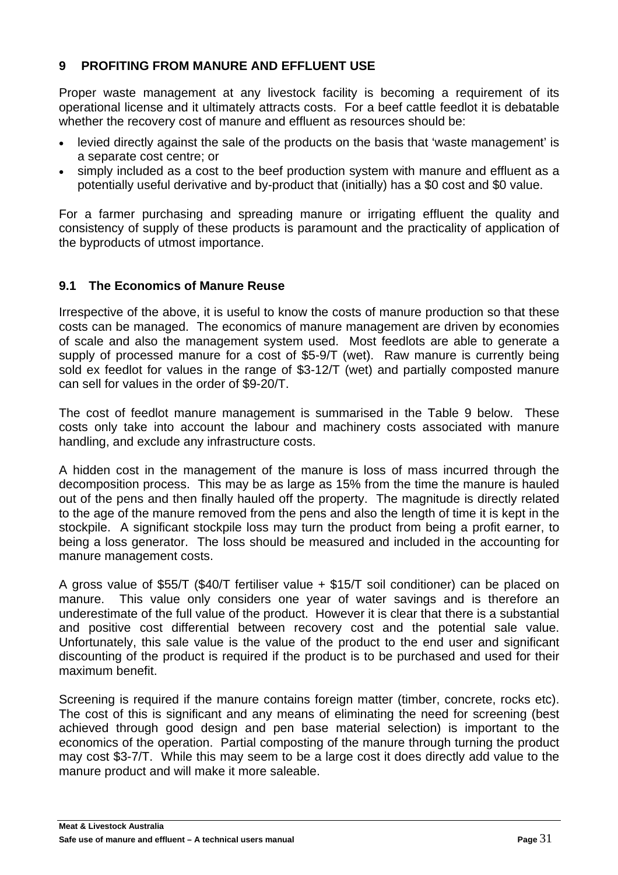#### **9 PROFITING FROM MANURE AND EFFLUENT USE**

Proper waste management at any livestock facility is becoming a requirement of its operational license and it ultimately attracts costs. For a beef cattle feedlot it is debatable whether the recovery cost of manure and effluent as resources should be:

- levied directly against the sale of the products on the basis that 'waste management' is a separate cost centre; or
- simply included as a cost to the beef production system with manure and effluent as a potentially useful derivative and by-product that (initially) has a \$0 cost and \$0 value.

For a farmer purchasing and spreading manure or irrigating effluent the quality and consistency of supply of these products is paramount and the practicality of application of the byproducts of utmost importance.

#### **9.1 The Economics of Manure Reuse**

Irrespective of the above, it is useful to know the costs of manure production so that these costs can be managed. The economics of manure management are driven by economies of scale and also the management system used. Most feedlots are able to generate a supply of processed manure for a cost of \$5-9/T (wet). Raw manure is currently being sold ex feedlot for values in the range of \$3-12/T (wet) and partially composted manure can sell for values in the order of \$9-20/T.

The cost of feedlot manure management is summarised in the [Table 9 below.](#page-32-0) These costs only take into account the labour and machinery costs associated with manure handling, and exclude any infrastructure costs.

A hidden cost in the management of the manure is loss of mass incurred through the decomposition process. This may be as large as 15% from the time the manure is hauled out of the pens and then finally hauled off the property. The magnitude is directly related to the age of the manure removed from the pens and also the length of time it is kept in the stockpile. A significant stockpile loss may turn the product from being a profit earner, to being a loss generator. The loss should be measured and included in the accounting for manure management costs.

A gross value of \$55/T (\$40/T fertiliser value + \$15/T soil conditioner) can be placed on manure. This value only considers one year of water savings and is therefore an underestimate of the full value of the product. However it is clear that there is a substantial and positive cost differential between recovery cost and the potential sale value. Unfortunately, this sale value is the value of the product to the end user and significant discounting of the product is required if the product is to be purchased and used for their maximum benefit.

Screening is required if the manure contains foreign matter (timber, concrete, rocks etc). The cost of this is significant and any means of eliminating the need for screening (best achieved through good design and pen base material selection) is important to the economics of the operation. Partial composting of the manure through turning the product may cost \$3-7/T. While this may seem to be a large cost it does directly add value to the manure product and will make it more saleable.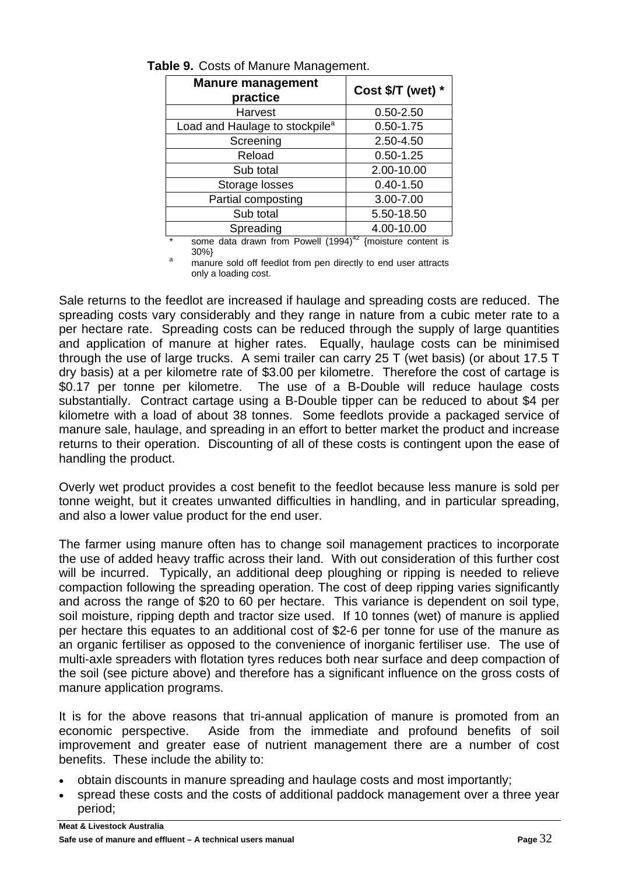<span id="page-32-0"></span>

| <b>Manure management</b><br>practice                                       | Cost \$/T (wet) * |
|----------------------------------------------------------------------------|-------------------|
| Harvest                                                                    | $0.50 - 2.50$     |
| Load and Haulage to stockpile <sup>a</sup>                                 | $0.50 - 1.75$     |
| Screening                                                                  | 2.50-4.50         |
| Reload                                                                     | $0.50 - 1.25$     |
| Sub total                                                                  | 2.00-10.00        |
| Storage losses                                                             | $0.40 - 1.50$     |
| Partial composting                                                         | 3.00-7.00         |
| Sub total                                                                  | 5.50-18.50        |
| Spreading<br>$1.1 \t1.1 \t1.1 \t2.1 \t3.1 \t4.0011^{42} \t1.1 \t1.1 \t1.1$ | 4.00-10.00        |

**Table 9.** Costs of Manure Management.

some data drawn from Powell  $(1994)^{42}$  {moisture content is

 $30\%$  30%}<br>a manure sold off feedlot from pen directly to end user attracts only a loading cost.

Sale returns to the feedlot are increased if haulage and spreading costs are reduced. The spreading costs vary considerably and they range in nature from a cubic meter rate to a per hectare rate. Spreading costs can be reduced through the supply of large quantities and application of manure at higher rates. Equally, haulage costs can be minimised through the use of large trucks. A semi trailer can carry 25 T (wet basis) (or about 17.5 T dry basis) at a per kilometre rate of \$3.00 per kilometre. Therefore the cost of cartage is \$0.17 per tonne per kilometre. The use of a B-Double will reduce haulage costs substantially. Contract cartage using a B-Double tipper can be reduced to about \$4 per kilometre with a load of about 38 tonnes. Some feedlots provide a packaged service of manure sale, haulage, and spreading in an effort to better market the product and increase returns to their operation. Discounting of all of these costs is contingent upon the ease of handling the product.

Overly wet product provides a cost benefit to the feedlot because less manure is sold per tonne weight, but it creates unwanted difficulties in handling, and in particular spreading, and also a lower value product for the end user.

The farmer using manure often has to change soil management practices to incorporate the use of added heavy traffic across their land. With out consideration of this further cost will be incurred. Typically, an additional deep ploughing or ripping is needed to relieve compaction following the spreading operation. The cost of deep ripping varies significantly and across the range of \$20 to 60 per hectare. This variance is dependent on soil type, soil moisture, ripping depth and tractor size used. If 10 tonnes (wet) of manure is applied per hectare this equates to an additional cost of \$2-6 per tonne for use of the manure as an organic fertiliser as opposed to the convenience of inorganic fertiliser use. The use of multi-axle spreaders with flotation tyres reduces both near surface and deep compaction of the soil (see picture above) and therefore has a significant influence on the gross costs of manure application programs.

It is for the above reasons that tri-annual application of manure is promoted from an economic perspective. Aside from the immediate and profound benefits of soil improvement and greater ease of nutrient management there are a number of cost benefits. These include the ability to:

- obtain discounts in manure spreading and haulage costs and most importantly;
- spread these costs and the costs of additional paddock management over a three year period;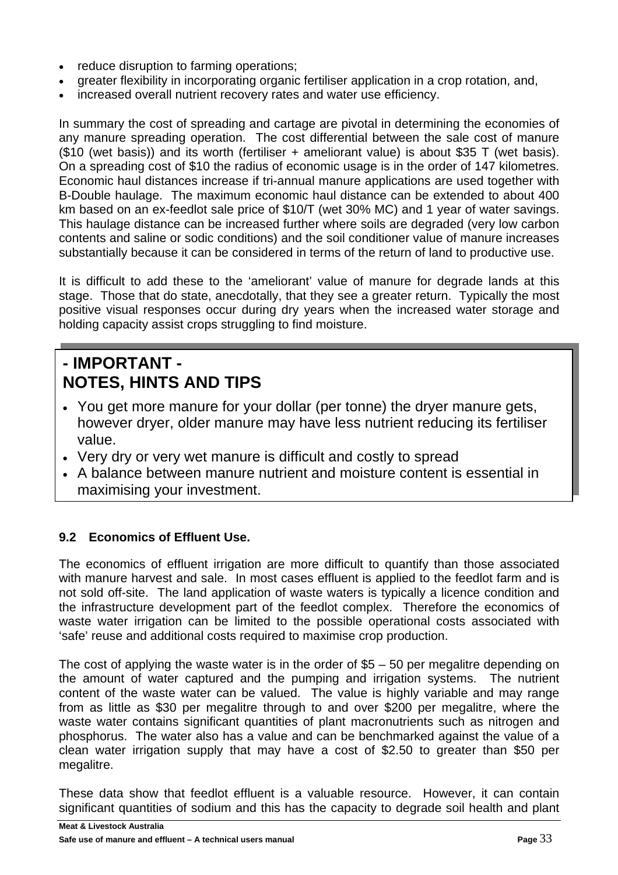- reduce disruption to farming operations;
- greater flexibility in incorporating organic fertiliser application in a crop rotation, and,
- increased overall nutrient recovery rates and water use efficiency.

In summary the cost of spreading and cartage are pivotal in determining the economies of any manure spreading operation. The cost differential between the sale cost of manure  $($10$  (wet basis)) and its worth (fertiliser + ameliorant value) is about \$35 T (wet basis). On a spreading cost of \$10 the radius of economic usage is in the order of 147 kilometres. Economic haul distances increase if tri-annual manure applications are used together with B-Double haulage. The maximum economic haul distance can be extended to about 400 km based on an ex-feedlot sale price of \$10/T (wet 30% MC) and 1 year of water savings. This haulage distance can be increased further where soils are degraded (very low carbon contents and saline or sodic conditions) and the soil conditioner value of manure increases substantially because it can be considered in terms of the return of land to productive use.

It is difficult to add these to the 'ameliorant' value of manure for degrade lands at this stage. Those that do state, anecdotally, that they see a greater return. Typically the most positive visual responses occur during dry years when the increased water storage and holding capacity assist crops struggling to find moisture.

## **- IMPORTANT - NOTES, HINTS AND TIPS**

- You get more manure for your dollar (per tonne) the dryer manure gets, however dryer, older manure may have less nutrient reducing its fertiliser value.
- Very dry or very wet manure is difficult and costly to spread
- A balance between manure nutrient and moisture content is essential in maximising your investment.

#### **9.2 Economics of Effluent Use.**

The economics of effluent irrigation are more difficult to quantify than those associated with manure harvest and sale. In most cases effluent is applied to the feedlot farm and is not sold off-site. The land application of waste waters is typically a licence condition and the infrastructure development part of the feedlot complex. Therefore the economics of waste water irrigation can be limited to the possible operational costs associated with 'safe' reuse and additional costs required to maximise crop production.

The cost of applying the waste water is in the order of  $$5 - 50$  per megalitre depending on the amount of water captured and the pumping and irrigation systems. The nutrient content of the waste water can be valued. The value is highly variable and may range from as little as \$30 per megalitre through to and over \$200 per megalitre, where the waste water contains significant quantities of plant macronutrients such as nitrogen and phosphorus. The water also has a value and can be benchmarked against the value of a clean water irrigation supply that may have a cost of \$2.50 to greater than \$50 per megalitre.

These data show that feedlot effluent is a valuable resource. However, it can contain significant quantities of sodium and this has the capacity to degrade soil health and plant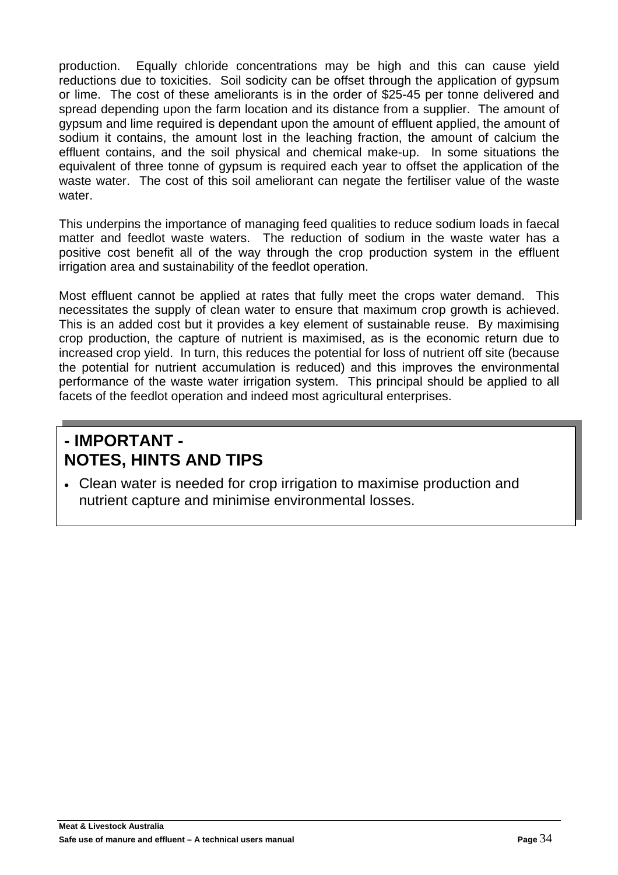production. Equally chloride concentrations may be high and this can cause yield reductions due to toxicities. Soil sodicity can be offset through the application of gypsum or lime. The cost of these ameliorants is in the order of \$25-45 per tonne delivered and spread depending upon the farm location and its distance from a supplier. The amount of gypsum and lime required is dependant upon the amount of effluent applied, the amount of sodium it contains, the amount lost in the leaching fraction, the amount of calcium the effluent contains, and the soil physical and chemical make-up. In some situations the equivalent of three tonne of gypsum is required each year to offset the application of the waste water. The cost of this soil ameliorant can negate the fertiliser value of the waste water.

This underpins the importance of managing feed qualities to reduce sodium loads in faecal matter and feedlot waste waters. The reduction of sodium in the waste water has a positive cost benefit all of the way through the crop production system in the effluent irrigation area and sustainability of the feedlot operation.

Most effluent cannot be applied at rates that fully meet the crops water demand. This necessitates the supply of clean water to ensure that maximum crop growth is achieved. This is an added cost but it provides a key element of sustainable reuse. By maximising crop production, the capture of nutrient is maximised, as is the economic return due to increased crop yield. In turn, this reduces the potential for loss of nutrient off site (because the potential for nutrient accumulation is reduced) and this improves the environmental performance of the waste water irrigation system. This principal should be applied to all facets of the feedlot operation and indeed most agricultural enterprises.

### **- IMPORTANT - NOTES, HINTS AND TIPS**

• Clean water is needed for crop irrigation to maximise production and nutrient capture and minimise environmental losses.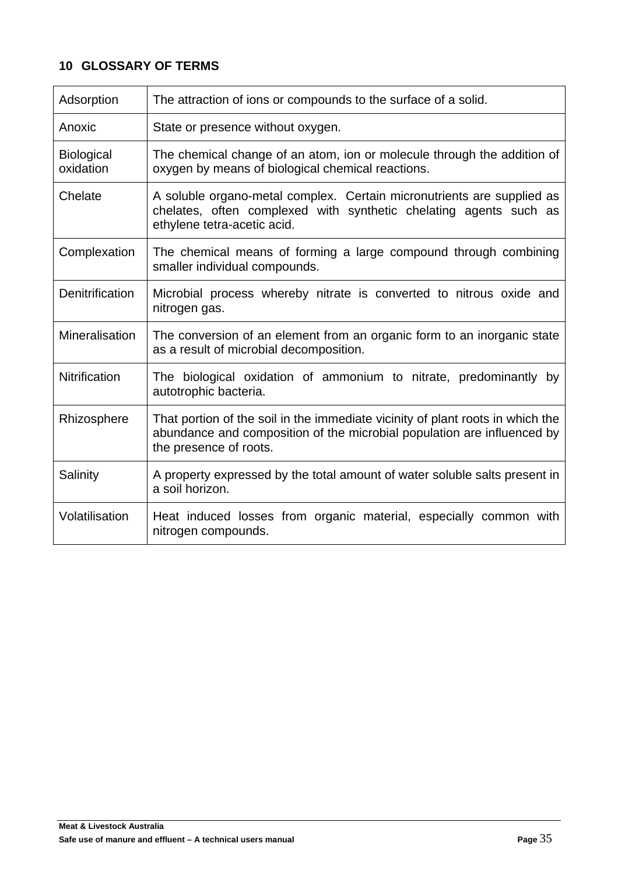### **10 GLOSSARY OF TERMS**

| Adsorption                     | The attraction of ions or compounds to the surface of a solid.                                                                                                                      |
|--------------------------------|-------------------------------------------------------------------------------------------------------------------------------------------------------------------------------------|
| Anoxic                         | State or presence without oxygen.                                                                                                                                                   |
| <b>Biological</b><br>oxidation | The chemical change of an atom, ion or molecule through the addition of<br>oxygen by means of biological chemical reactions.                                                        |
| Chelate                        | A soluble organo-metal complex. Certain micronutrients are supplied as<br>chelates, often complexed with synthetic chelating agents such as<br>ethylene tetra-acetic acid.          |
| Complexation                   | The chemical means of forming a large compound through combining<br>smaller individual compounds.                                                                                   |
| Denitrification                | Microbial process whereby nitrate is converted to nitrous oxide and<br>nitrogen gas.                                                                                                |
| <b>Mineralisation</b>          | The conversion of an element from an organic form to an inorganic state<br>as a result of microbial decomposition.                                                                  |
| <b>Nitrification</b>           | The biological oxidation of ammonium to nitrate, predominantly by<br>autotrophic bacteria.                                                                                          |
| Rhizosphere                    | That portion of the soil in the immediate vicinity of plant roots in which the<br>abundance and composition of the microbial population are influenced by<br>the presence of roots. |
| Salinity                       | A property expressed by the total amount of water soluble salts present in<br>a soil horizon.                                                                                       |
| Volatilisation                 | Heat induced losses from organic material, especially common with<br>nitrogen compounds.                                                                                            |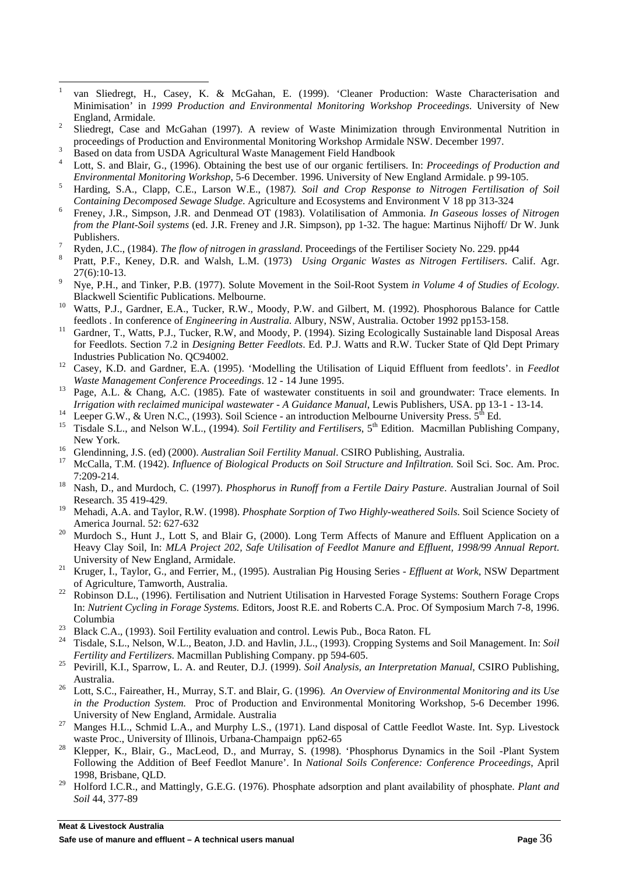- $\mathbf{1}$ <sup>1</sup> van Sliedregt, H., Casey, K. & McGahan, E. (1999). 'Cleaner Production: Waste Characterisation and Minimisation' in *1999 Production and Environmental Monitoring Workshop Proceedings*. University of New
- England, Armidale. 2 Sliedregt, Case and McGahan (1997). A review of Waste Minimization through Environmental Nutrition in proceedings of Production and Environmental Monitoring Workshop Armidale NSW. December 1997.<br>
Based on data from USDA Agricultural Waste Management Field Handbook<br>
Lott, S. and Blair, G., (1996). Obtaining the best use of
- 
- *Environmental Monitoring Workshop*, 5-6 December. 1996. University of New England Armidale. p 99-105.<br><sup>5</sup> Harding, S.A., Clapp, C.E., Larson W.E., (1987*). Soil and Crop Response to Nitrogen Fertilisation of Soil*
- *Containing Decomposed Sewage Sludge*. Agriculture and Ecosystems and Environment V 18 pp 313-324 *Freney, J.R., Simpson, J.R. and Denmead OT (1983). Volatilisation of Ammonia. <i>In Gaseous losses of Nitrogen*
- *from the Plant-Soil systems* (ed. J.R. Freney and J.R. Simpson), pp 1-32. The hague: Martinus Nijhoff/ Dr W. Junk
- 
- Publishers.<br><sup>7</sup> Ryden, J.C., (1984). *The flow of nitrogen in grassland*. Proceedings of the Fertiliser Society No. 229. pp44<br><sup>8</sup> Pratt, P.F., Keney, D.R. and Walsh, L.M. (1973) *Using Organic Wastes as Nitrogen Fertiliser*
- 27(6):10-13. 9 Nye, P.H., and Tinker, P.B. (1977). Solute Movement in the Soil-Root System *in Volume 4 of Studies of Ecology*.
- Blackwell Scientific Publications. Melbourne.<br><sup>10</sup> Watts, P.J., Gardner, E.A., Tucker, R.W., Moody, P.W. and Gilbert, M. (1992). Phosphorous Balance for Cattle
- feedlots . In conference of *Engineering in Australia*. Albury, NSW, Australia. October 1992 pp153-158. 11 Gardner, T., Watts, P.J., Tucker, R.W, and Moody, P. (1994). Sizing Ecologically Sustainable land Disposal Areas for Feedlots. Section 7.2 in *Designing Better Feedlots*. Ed. P.J. Watts and R.W. Tucker State of Qld Dept Primary
- Industries Publication No. QC94002.<br><sup>12</sup> Casey, K.D. and Gardner, E.A. (1995). 'Modelling the Utilisation of Liquid Effluent from feedlots'. in *Feedlot*
- *Waste Management Conference Proceedings*. 12 14 June 1995.<br><sup>13</sup> Page, A.L. & Chang, A.C. (1985). Fate of wastewater constituents in soil and groundwater: Trace elements. In Irrigation with reclaimed municipal wastewater - A Guidance Manual, Lewis Publishers, USA. pp 13-1 - 13-14.<br><sup>14</sup> Leeper G.W., & Uren N.C., (1993). Soil Science - an introduction Melbourne University Press. 5<sup>th</sup> Ed.<br><sup>15</sup>
- 
- New York.<br><sup>16</sup> Glendinning, J.S. (ed) (2000). *Australian Soil Fertility Manual*. CSIRO Publishing, Australia.<br><sup>17</sup> McCalla, T.M. (1942). *Influence of Biological Products on Soil Structure and Infiltration*. Soil Sci. Soc
- 
- 7:209-214. 18 Nash, D., and Murdoch, C. (1997). *Phosphorus in Runoff from a Fertile Dairy Pasture*. Australian Journal of Soil
- Research. 35 419-429.
- <sup>19</sup> Mehadi, A.A. and Taylor, R.W. (1998). *Phosphate Sorption of Two Highly-weathered Soils*. Soil Science Society of
- America Journal. 52: 627-632<br><sup>20</sup> Murdoch S., Hunt J., Lott S., and Blair G, (2000). Long Term Affects of Manure and Effluent Application on a Heavy Clay Soil, In: *MLA Project 202, Safe Utilisation of Feedlot Manure and Effluent, 1998/99 Annual Report*.
- University of New England, Armidale. 21 Kruger, I., Taylor, G., and Ferrier, M., (1995). Australian Pig Housing Series *Effluent at Work*, NSW Department of Agriculture, Tamworth, Australia. 22 Robinson D.L., (1996). Fertilisation and Nutrient Utilisation in Harvested Forage Systems: Southern Forage Crops
- In: *Nutrient Cycling in Forage Systems.* Editors, Joost R.E. and Roberts C.A. Proc. Of Symposium March 7-8, 1996. Columbia 23 Black C.A., (1993). Soil Fertility evaluation and control. Lewis Pub., Boca Raton. FL 24 Tisdale, S.L., Nelson, W.L., Beaton, J.D. and Havlin, J.L., (1993). Cropping Systems and Soil Management. In: *Soil*
- 
- *Fertility and Fertilizers*. Macmillan Publishing Company. pp 594-605. 25 Pevirill, K.I., Sparrow, L. A. and Reuter, D.J. (1999). *Soil Analysis, an Interpretation Manual*, CSIRO Publishing,
- Australia. 26 Lott, S.C., Faireather, H., Murray, S.T. and Blair, G. (1996)*. An Overview of Environmental Monitoring and its Use*
- *in the Production System.* Proc of Production and Environmental Monitoring Workshop, 5-6 December 1996.
- University of New England, Armidale. Australia <sup>27</sup> Manges H.L., Schmid L.A., and Murphy L.S., (1971). Land disposal of Cattle Feedlot Waste. Int. Syp. Livestock waste Proc., University of Illinois, Urbana-Champaign pp62-65<br><sup>28</sup> Klepper, K., Blair, G., MacLeod, D., and Murray, S. (1998). 'Phosphorus Dynamics in the Soil -Plant System
- Following the Addition of Beef Feedlot Manure'. In *National Soils Conference: Conference Proceedings*, April 1998, Brisbane, QLD.
- <sup>29</sup> Holford I.C.R., and Mattingly, G.E.G. (1976). Phosphate adsorption and plant availability of phosphate. *Plant and Soil* 44, 377-89